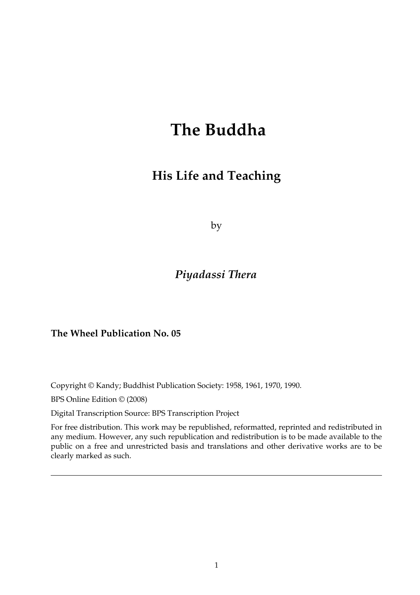# **The Buddha**

# **His Life and Teaching**

by

#### *Piyadassi Thera*

#### **The Wheel Publication No. 05**

Copyright © Kandy; Buddhist Publication Society: 1958, 1961, 1970, 1990.

BPS Online Edition © (2008)

Digital Transcription Source: BPS Transcription Project

For free distribution. This work may be republished, reformatted, reprinted and redistributed in any medium. However, any such republication and redistribution is to be made available to the public on a free and unrestricted basis and translations and other derivative works are to be clearly marked as such.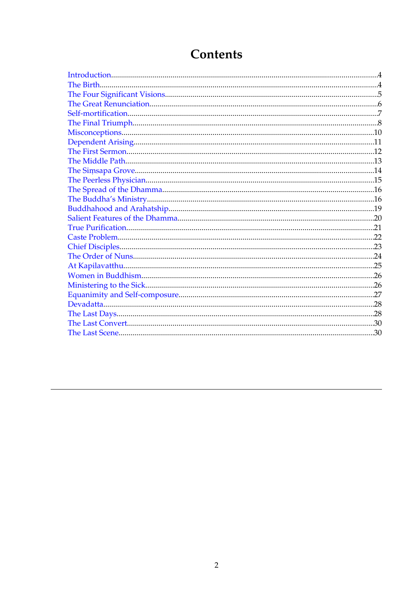# Contents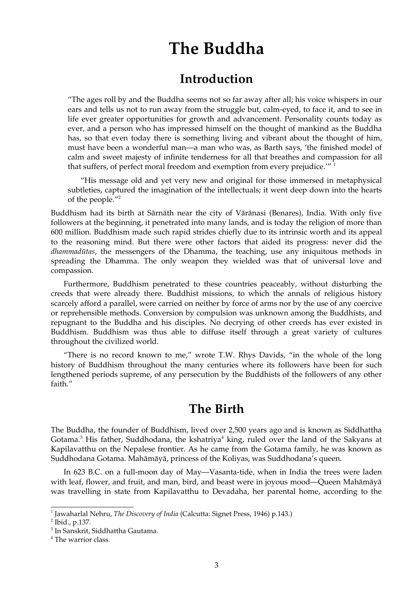# **The Buddha**

## <span id="page-2-1"></span>**Introduction**

"The ages roll by and the Buddha seems not so far away after all; his voice whispers in our ears and tells us not to run away from the struggle but, calm-eyed, to face it, and to see in life ever greater opportunities for growth and advancement. Personality counts today as ever, and a person who has impressed himself on the thought of mankind as the Buddha has, so that even today there is something living and vibrant about the thought of him, must have been a wonderful man—a man who was, as Barth says, 'the finished model of calm and sweet majesty of infinite tenderness for all that breathes and compassion for all that suffers, of perfect moral freedom and exemption from every prejudice.'" [1](#page-2-2)

"His message old and yet very new and original for those immersed in metaphysical subtleties, captured the imagination of the intellectuals; it went deep down into the hearts of the people."[2](#page-2-3)

Buddhism had its birth at Sárnáth near the city of Váránasi (Benares), India. With only five followers at the beginning, it penetrated into many lands, and is today the religion of more than 600 million. Buddhism made such rapid strides chiefly due to its intrinsic worth and its appeal to the reasoning mind. But there were other factors that aided its progress: never did the *dhammadútas*, the messengers of the Dhamma, the teaching, use any iniquitous methods in spreading the Dhamma. The only weapon they wielded was that of universal love and compassion.

Furthermore, Buddhism penetrated to these countries peaceably, without disturbing the creeds that were already there. Buddhist missions, to which the annals of religious history scarcely afford a parallel, were carried on neither by force of arms nor by the use of any coercive or reprehensible methods. Conversion by compulsion was unknown among the Buddhists, and repugnant to the Buddha and his disciples. No decrying of other creeds has ever existed in Buddhism. Buddhism was thus able to diffuse itself through a great variety of cultures throughout the civilized world.

"There is no record known to me," wrote T.W. Rhys Davids, "in the whole of the long history of Buddhism throughout the many centuries where its followers have been for such lengthened periods supreme, of any persecution by the Buddhists of the followers of any other faith."

# <span id="page-2-0"></span>**The Birth**

The Buddha, the founder of Buddhism, lived over 2,500 years ago and is known as Siddhattha Gotama.<sup>[3](#page-2-4)</sup> His father, Suddhodana, the kshatriya<sup>[4](#page-2-5)</sup> king, ruled over the land of the Sakyans at Kapilavatthu on the Nepalese frontier. As he came from the Gotama family, he was known as Suddhodana Gotama. Mahámáyá, princess of the Koliyas, was Suddhodana's queen.

In 623 B.C. on a full-moon day of May—Vasanta-tide, when in India the trees were laden with leaf, flower, and fruit, and man, bird, and beast were in joyous mood—Queen Mahámáyá was travelling in state from Kapilavatthu to Devadaha, her parental home, according to the

<span id="page-2-2"></span><sup>&</sup>lt;sup>1</sup> Jawaharlal Nehru, *The Discovery of India* (Calcutta: Signet Press, 1946) p.143.)

<span id="page-2-3"></span><sup>2</sup> Ibid., p.137.

<span id="page-2-4"></span><sup>3</sup> In Sanskrit, Siddhattha Gautama.

<span id="page-2-5"></span><sup>4</sup> The warrior class.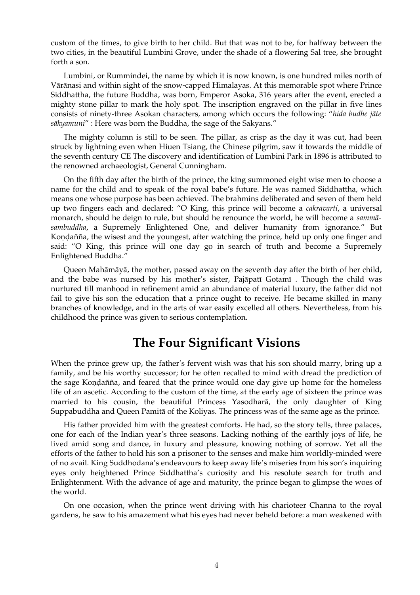custom of the times, to give birth to her child. But that was not to be, for halfway between the two cities, in the beautiful Lumbini Grove, under the shade of a flowering Sal tree, she brought forth a son.

Lumbini, or Rummindei, the name by which it is now known, is one hundred miles north of Váránasi and within sight of the snow-capped Himalayas. At this memorable spot where Prince Siddhattha, the future Buddha, was born, Emperor Asoka, 316 years after the event, erected a mighty stone pillar to mark the holy spot. The inscription engraved on the pillar in five lines consists of ninety-three Asokan characters, among which occurs the following: "*hida budhe játe sákyamuni*" : Here was born the Buddha, the sage of the Sakyans."

The mighty column is still to be seen. The pillar, as crisp as the day it was cut, had been struck by lightning even when Hiuen Tsiang, the Chinese pilgrim, saw it towards the middle of the seventh century CE The discovery and identification of Lumbini Park in 1896 is attributed to the renowned archaeologist, General Cunningham.

On the fifth day after the birth of the prince, the king summoned eight wise men to choose a name for the child and to speak of the royal babe's future. He was named Siddhattha, which means one whose purpose has been achieved. The brahmins deliberated and seven of them held up two fingers each and declared: "O King, this prince will become a *cakravarti*, a universal monarch, should he deign to rule, but should he renounce the world, he will become a *sammásambuddha*, a Supremely Enlightened One, and deliver humanity from ignorance." But Kondañña, the wisest and the youngest, after watching the prince, held up only one finger and said: "O King, this prince will one day go in search of truth and become a Supremely Enlightened Buddha."

Queen Mahámáyá, the mother, passed away on the seventh day after the birth of her child, and the babe was nursed by his mother's sister, Pajápatì Gotamì . Though the child was nurtured till manhood in refinement amid an abundance of material luxury, the father did not fail to give his son the education that a prince ought to receive. He became skilled in many branches of knowledge, and in the arts of war easily excelled all others. Nevertheless, from his childhood the prince was given to serious contemplation.

# <span id="page-3-0"></span>**The Four Significant Visions**

When the prince grew up, the father's fervent wish was that his son should marry, bring up a family, and be his worthy successor; for he often recalled to mind with dread the prediction of the sage Kondañña, and feared that the prince would one day give up home for the homeless life of an ascetic. According to the custom of the time, at the early age of sixteen the prince was married to his cousin, the beautiful Princess Yasodhará, the only daughter of King Suppabuddha and Queen Pamitá of the Koliyas. The princess was of the same age as the prince.

His father provided him with the greatest comforts. He had, so the story tells, three palaces, one for each of the Indian year's three seasons. Lacking nothing of the earthly joys of life, he lived amid song and dance, in luxury and pleasure, knowing nothing of sorrow. Yet all the efforts of the father to hold his son a prisoner to the senses and make him worldly-minded were of no avail. King Suddhodana's endeavours to keep away life's miseries from his son's inquiring eyes only heightened Prince Siddhattha's curiosity and his resolute search for truth and Enlightenment. With the advance of age and maturity, the prince began to glimpse the woes of the world.

On one occasion, when the prince went driving with his charioteer Channa to the royal gardens, he saw to his amazement what his eyes had never beheld before: a man weakened with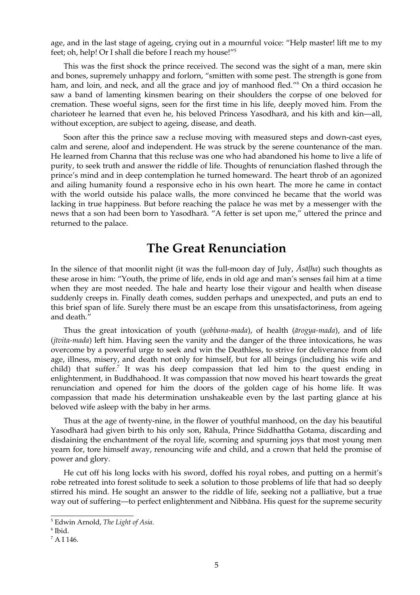age, and in the last stage of ageing, crying out in a mournful voice: "Help master! lift me to my feet; oh, help! Or I shall die before I reach my house!"[5](#page-4-1)

This was the first shock the prince received. The second was the sight of a man, mere skin and bones, supremely unhappy and forlorn, "smitten with some pest. The strength is gone from ham, and loin, and neck, and all the grace and joy of manhood fled."<sup>[6](#page-4-2)</sup> On a third occasion he saw a band of lamenting kinsmen bearing on their shoulders the corpse of one beloved for cremation. These woeful signs, seen for the first time in his life, deeply moved him. From the charioteer he learned that even he, his beloved Princess Yasodhará, and his kith and kin—all, without exception, are subject to ageing, disease, and death.

Soon after this the prince saw a recluse moving with measured steps and down-cast eyes, calm and serene, aloof and independent. He was struck by the serene countenance of the man. He learned from Channa that this recluse was one who had abandoned his home to live a life of purity, to seek truth and answer the riddle of life. Thoughts of renunciation flashed through the prince's mind and in deep contemplation he turned homeward. The heart throb of an agonized and ailing humanity found a responsive echo in his own heart. The more he came in contact with the world outside his palace walls, the more convinced he became that the world was lacking in true happiness. But before reaching the palace he was met by a messenger with the news that a son had been born to Yasodhará. "A fetter is set upon me," uttered the prince and returned to the palace.

#### <span id="page-4-0"></span>**The Great Renunciation**

In the silence of that moonlit night (it was the full-moon day of July, *Ásá¿ha*) such thoughts as these arose in him: "Youth, the prime of life, ends in old age and man's senses fail him at a time when they are most needed. The hale and hearty lose their vigour and health when disease suddenly creeps in. Finally death comes, sudden perhaps and unexpected, and puts an end to this brief span of life. Surely there must be an escape from this unsatisfactoriness, from ageing and death."

Thus the great intoxication of youth (*yobbana-mada*), of health (*árogya-mada*), and of life (*jìvita-mada*) left him. Having seen the vanity and the danger of the three intoxications, he was overcome by a powerful urge to seek and win the Deathless, to strive for deliverance from old age, illness, misery, and death not only for himself, but for all beings (including his wife and child) that suffer.<sup>[7](#page-4-3)</sup> It was his deep compassion that led him to the quest ending in enlightenment, in Buddhahood. It was compassion that now moved his heart towards the great renunciation and opened for him the doors of the golden cage of his home life. It was compassion that made his determination unshakeable even by the last parting glance at his beloved wife asleep with the baby in her arms.

Thus at the age of twenty-nine, in the flower of youthful manhood, on the day his beautiful Yasodhará had given birth to his only son, Ráhula, Prince Siddhattha Gotama, discarding and disdaining the enchantment of the royal life, scorning and spurning joys that most young men yearn for, tore himself away, renouncing wife and child, and a crown that held the promise of power and glory.

He cut off his long locks with his sword, doffed his royal robes, and putting on a hermit's robe retreated into forest solitude to seek a solution to those problems of life that had so deeply stirred his mind. He sought an answer to the riddle of life, seeking not a palliative, but a true way out of suffering—to perfect enlightenment and Nibbána. His quest for the supreme security

<span id="page-4-1"></span><sup>5</sup> Edwin Arnold, *The Light of Asia.*

<span id="page-4-2"></span> $6$  Ibid.

<span id="page-4-3"></span> $\rm ^{7}$  A I 146.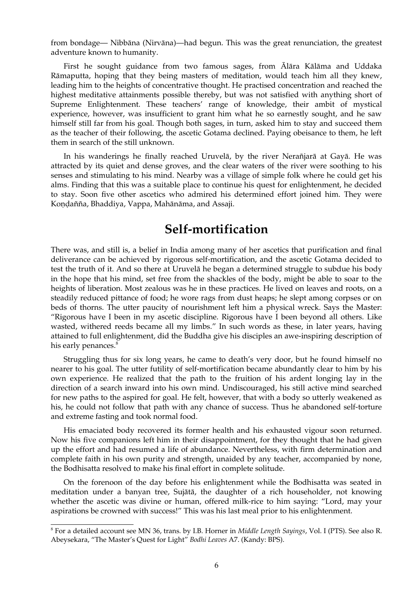from bondage— Nibbána (Nirvána)—had begun. This was the great renunciation, the greatest adventure known to humanity.

First he sought guidance from two famous sages, from Álára Káláma and Uddaka Rámaputta, hoping that they being masters of meditation, would teach him all they knew, leading him to the heights of concentrative thought. He practised concentration and reached the highest meditative attainments possible thereby, but was not satisfied with anything short of Supreme Enlightenment. These teachers' range of knowledge, their ambit of mystical experience, however, was insufficient to grant him what he so earnestly sought, and he saw himself still far from his goal. Though both sages, in turn, asked him to stay and succeed them as the teacher of their following, the ascetic Gotama declined. Paying obeisance to them, he left them in search of the still unknown.

In his wanderings he finally reached Uruvelá, by the river Nerañjará at Gayá. He was attracted by its quiet and dense groves, and the clear waters of the river were soothing to his senses and stimulating to his mind. Nearby was a village of simple folk where he could get his alms. Finding that this was a suitable place to continue his quest for enlightenment, he decided to stay. Soon five other ascetics who admired his determined effort joined him. They were Koņḍañña, Bhaddiya, Vappa, Mahānāma, and Assaji.

# <span id="page-5-0"></span>**Self-mortification**

There was, and still is, a belief in India among many of her ascetics that purification and final deliverance can be achieved by rigorous self-mortification, and the ascetic Gotama decided to test the truth of it. And so there at Uruvelá he began a determined struggle to subdue his body in the hope that his mind, set free from the shackles of the body, might be able to soar to the heights of liberation. Most zealous was he in these practices. He lived on leaves and roots, on a steadily reduced pittance of food; he wore rags from dust heaps; he slept among corpses or on beds of thorns. The utter paucity of nourishment left him a physical wreck. Says the Master: "Rigorous have I been in my ascetic discipline. Rigorous have I been beyond all others. Like wasted, withered reeds became all my limbs." In such words as these, in later years, having attained to full enlightenment, did the Buddha give his disciples an awe-inspiring description of his early penances.<sup>[8](#page-5-1)</sup>

Struggling thus for six long years, he came to death's very door, but he found himself no nearer to his goal. The utter futility of self-mortification became abundantly clear to him by his own experience. He realized that the path to the fruition of his ardent longing lay in the direction of a search inward into his own mind. Undiscouraged, his still active mind searched for new paths to the aspired for goal. He felt, however, that with a body so utterly weakened as his, he could not follow that path with any chance of success. Thus he abandoned self-torture and extreme fasting and took normal food.

His emaciated body recovered its former health and his exhausted vigour soon returned. Now his five companions left him in their disappointment, for they thought that he had given up the effort and had resumed a life of abundance. Nevertheless, with firm determination and complete faith in his own purity and strength, unaided by any teacher, accompanied by none, the Bodhisatta resolved to make his final effort in complete solitude.

On the forenoon of the day before his enlightenment while the Bodhisatta was seated in meditation under a banyan tree, Sujátá, the daughter of a rich householder, not knowing whether the ascetic was divine or human, offered milk-rice to him saying: "Lord, may your aspirations be crowned with success!" This was his last meal prior to his enlightenment.

<span id="page-5-1"></span><sup>8</sup> For a detailed account see MN 36, trans. by I.B. Horner in *Middle Length Sayings*, Vol. I (PTS). See also R. Abeysekara, "The Master's Quest for Light" *Bodhi Leaves* A7. (Kandy: BPS).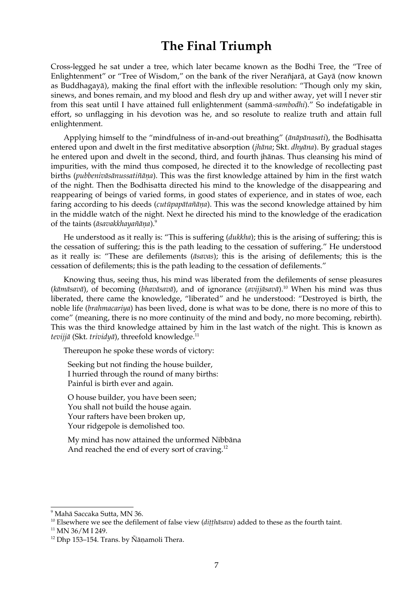# <span id="page-6-0"></span>**The Final Triumph**

Cross-legged he sat under a tree, which later became known as the Bodhi Tree, the "Tree of Enlightenment" or "Tree of Wisdom," on the bank of the river Nerañjará, at Gayá (now known as Buddhagayá), making the final effort with the inflexible resolution: "Though only my skin, sinews, and bones remain, and my blood and flesh dry up and wither away, yet will I never stir from this seat until I have attained full enlightenment (sammá*-sambodhi*)." So indefatigable in effort, so unflagging in his devotion was he, and so resolute to realize truth and attain full enlightenment.

Applying himself to the "mindfulness of in-and-out breathing" (*ánápánasati*), the Bodhisatta entered upon and dwelt in the first meditative absorption (*jhána*; Skt. *dhyána*). By gradual stages he entered upon and dwelt in the second, third, and fourth jhánas. Thus cleansing his mind of impurities, with the mind thus composed, he directed it to the knowledge of recollecting past births (*pubbenivásánussatiñáóa*). This was the first knowledge attained by him in the first watch of the night. Then the Bodhisatta directed his mind to the knowledge of the disappearing and reappearing of beings of varied forms, in good states of experience, and in states of woe, each faring according to his deeds (*cutúpapátañáóa*). This was the second knowledge attained by him in the middle watch of the night. Next he directed his mind to the knowledge of the eradication of the taints ( $\bar{a}$ *savakkhayañāna*).<sup>[9](#page-6-1)</sup>

He understood as it really is: "This is suffering (*dukkha*); this is the arising of suffering; this is the cessation of suffering; this is the path leading to the cessation of suffering." He understood as it really is: "These are defilements (*ásavas*); this is the arising of defilements; this is the cessation of defilements; this is the path leading to the cessation of defilements."

Knowing thus, seeing thus, his mind was liberated from the defilements of sense pleasures (*kámásavá*), of becoming (*bhavásavá*), and of ignorance (*avijjásavá*).[10](#page-6-2) When his mind was thus liberated, there came the knowledge, "liberated" and he understood: "Destroyed is birth, the noble life (*brahmacariya*) has been lived, done is what was to be done, there is no more of this to come" (meaning, there is no more continuity of the mind and body, no more becoming, rebirth). This was the third knowledge attained by him in the last watch of the night. This is known as *tevijjá* (Skt. *trividyá*), threefold knowledge.[11](#page-6-3)

Thereupon he spoke these words of victory:

Seeking but not finding the house builder, I hurried through the round of many births: Painful is birth ever and again.

O house builder, you have been seen; You shall not build the house again. Your rafters have been broken up, Your ridgepole is demolished too.

My mind has now attained the unformed Nibbána And reached the end of every sort of craving.<sup>[12](#page-6-4)</sup>

<span id="page-6-1"></span><sup>9</sup> Mahá Saccaka Sutta, MN 36.

<span id="page-6-2"></span><sup>&</sup>lt;sup>10</sup> Elsewhere we see the defilement of false view (*di*tthāsava) added to these as the fourth taint.

<span id="page-6-3"></span><sup>&</sup>lt;sup>11</sup> MN 36/M I 249.

<span id="page-6-4"></span> $12$  Dhp 153–154. Trans. by Ñāṇamoli Thera.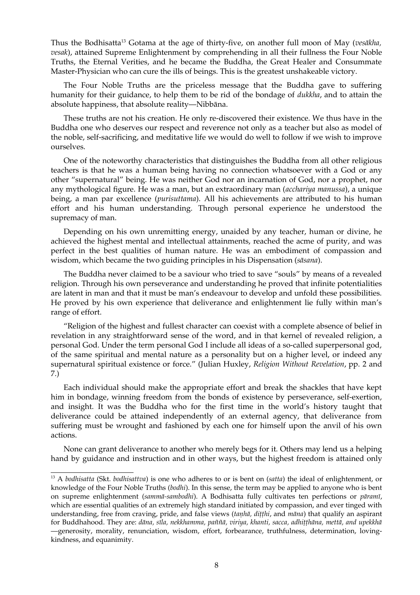Thus the Bodhisatta[13](#page-7-0) Gotama at the age of thirty-five, on another full moon of May (*vesákha, vesak*), attained Supreme Enlightenment by comprehending in all their fullness the Four Noble Truths, the Eternal Verities, and he became the Buddha, the Great Healer and Consummate Master-Physician who can cure the ills of beings. This is the greatest unshakeable victory.

The Four Noble Truths are the priceless message that the Buddha gave to suffering humanity for their guidance, to help them to be rid of the bondage of *dukkha*, and to attain the absolute happiness, that absolute reality—Nibbána.

These truths are not his creation. He only re-discovered their existence. We thus have in the Buddha one who deserves our respect and reverence not only as a teacher but also as model of the noble, self-sacrificing, and meditative life we would do well to follow if we wish to improve ourselves.

One of the noteworthy characteristics that distinguishes the Buddha from all other religious teachers is that he was a human being having no connection whatsoever with a God or any other "supernatural" being. He was neither God nor an incarnation of God, nor a prophet, nor any mythological figure. He was a man, but an extraordinary man (*acchariya manussa*), a unique being, a man par excellence (*purisuttama*). All his achievements are attributed to his human effort and his human understanding. Through personal experience he understood the supremacy of man.

Depending on his own unremitting energy, unaided by any teacher, human or divine, he achieved the highest mental and intellectual attainments, reached the acme of purity, and was perfect in the best qualities of human nature. He was an embodiment of compassion and wisdom, which became the two guiding principles in his Dispensation (*sásana*).

The Buddha never claimed to be a saviour who tried to save "souls" by means of a revealed religion. Through his own perseverance and understanding he proved that infinite potentialities are latent in man and that it must be man's endeavour to develop and unfold these possibilities. He proved by his own experience that deliverance and enlightenment lie fully within man's range of effort.

"Religion of the highest and fullest character can coexist with a complete absence of belief in revelation in any straightforward sense of the word, and in that kernel of revealed religion, a personal God. Under the term personal God I include all ideas of a so-called superpersonal god, of the same spiritual and mental nature as a personality but on a higher level, or indeed any supernatural spiritual existence or force." (Julian Huxley, *Religion Without Revelation*, pp. 2 and 7.)

Each individual should make the appropriate effort and break the shackles that have kept him in bondage, winning freedom from the bonds of existence by perseverance, self-exertion, and insight. It was the Buddha who for the first time in the world's history taught that deliverance could be attained independently of an external agency, that deliverance from suffering must be wrought and fashioned by each one for himself upon the anvil of his own actions.

None can grant deliverance to another who merely begs for it. Others may lend us a helping hand by guidance and instruction and in other ways, but the highest freedom is attained only

<span id="page-7-0"></span><sup>13</sup> A *bodhisatta* (Skt. *bodhisattva*) is one who adheres to or is bent on (*satta*) the ideal of enlightenment, or knowledge of the Four Noble Truths (*bodhi*). In this sense, the term may be applied to anyone who is bent on supreme enlightenment (*sammá-sambodhi*). A Bodhisatta fully cultivates ten perfections or *páramì*, which are essential qualities of an extremely high standard initiated by compassion, and ever tinged with understanding, free from craving, pride, and false views (tanhā, dițțhi, and māna) that qualify an aspirant for Buddhahood. They are: *dána, sìla, nekkhamma, paññá, viriya, khanti, sacca, adhiþþhána, mettá, and upekkhá* —generosity, morality, renunciation, wisdom, effort, forbearance, truthfulness, determination, lovingkindness, and equanimity.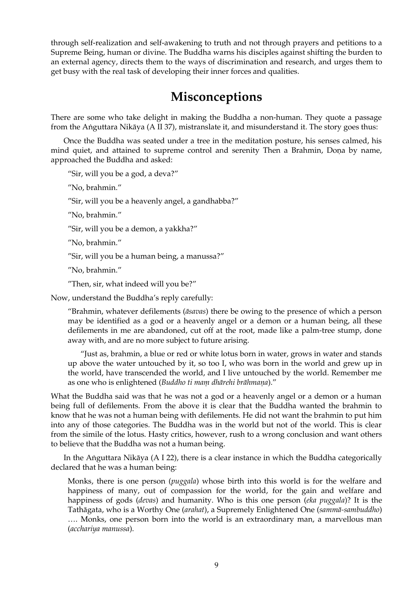through self-realization and self-awakening to truth and not through prayers and petitions to a Supreme Being, human or divine. The Buddha warns his disciples against shifting the burden to an external agency, directs them to the ways of discrimination and research, and urges them to get busy with the real task of developing their inner forces and qualities.

# <span id="page-8-0"></span>**Misconceptions**

There are some who take delight in making the Buddha a non-human. They quote a passage from the Anguttara Nikāya (A II 37), mistranslate it, and misunderstand it. The story goes thus:

Once the Buddha was seated under a tree in the meditation posture, his senses calmed, his mind quiet, and attained to supreme control and serenity Then a Brahmin, Dona by name, approached the Buddha and asked:

"Sir, will you be a god, a deva?"

"No, brahmin."

"Sir, will you be a heavenly angel, a gandhabba?"

"No, brahmin."

"Sir, will you be a demon, a yakkha?"

"No, brahmin."

"Sir, will you be a human being, a manussa?"

"No, brahmin."

"Then, sir, what indeed will you be?"

Now, understand the Buddha's reply carefully:

"Brahmin, whatever defilements (*ásavas*) there be owing to the presence of which a person may be identified as a god or a heavenly angel or a demon or a human being, all these defilements in me are abandoned, cut off at the root, made like a palm-tree stump, done away with, and are no more subject to future arising.

"Just as, brahmin, a blue or red or white lotus born in water, grows in water and stands up above the water untouched by it, so too I, who was born in the world and grew up in the world, have transcended the world, and I live untouched by the world. Remember me as one who is enlightened (*Buddho ti mam dhārehi brāhmaņa*)."

What the Buddha said was that he was not a god or a heavenly angel or a demon or a human being full of defilements. From the above it is clear that the Buddha wanted the brahmin to know that he was not a human being with defilements. He did not want the brahmin to put him into any of those categories. The Buddha was in the world but not of the world. This is clear from the simile of the lotus. Hasty critics, however, rush to a wrong conclusion and want others to believe that the Buddha was not a human being.

In the Anguttara Nikāya (A I 22), there is a clear instance in which the Buddha categorically declared that he was a human being:

Monks, there is one person (*puggala*) whose birth into this world is for the welfare and happiness of many, out of compassion for the world, for the gain and welfare and happiness of gods (*devas*) and humanity. Who is this one person (*eka puggala*)? It is the Tathágata, who is a Worthy One (*arahat*), a Supremely Enlightened One (*sammá-sambuddho*) …. Monks, one person born into the world is an extraordinary man, a marvellous man (*acchariya manussa*).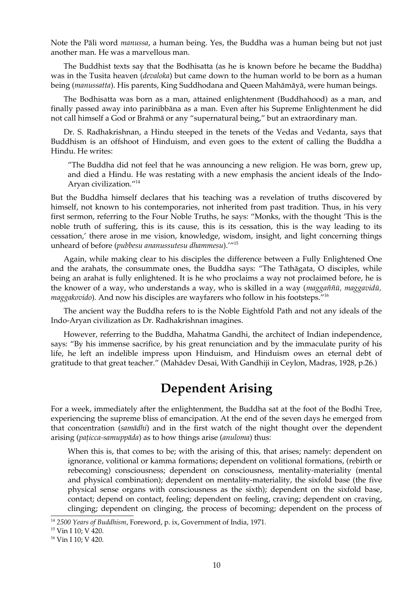Note the Páli word *manussa*, a human being. Yes, the Buddha was a human being but not just another man. He was a marvellous man.

The Buddhist texts say that the Bodhisatta (as he is known before he became the Buddha) was in the Tusita heaven (*devaloka*) but came down to the human world to be born as a human being (*manussatta*). His parents, King Suddhodana and Queen Mahámáyá, were human beings.

The Bodhisatta was born as a man, attained enlightenment (Buddhahood) as a man, and finally passed away into parinibbána as a man. Even after his Supreme Enlightenment he did not call himself a God or Brahmá or any "supernatural being," but an extraordinary man.

Dr. S. Radhakrishnan, a Hindu steeped in the tenets of the Vedas and Vedanta, says that Buddhism is an offshoot of Hinduism, and even goes to the extent of calling the Buddha a Hindu. He writes:

"The Buddha did not feel that he was announcing a new religion. He was born, grew up, and died a Hindu. He was restating with a new emphasis the ancient ideals of the Indo-Aryan civilization."[14](#page-9-1)

But the Buddha himself declares that his teaching was a revelation of truths discovered by himself, not known to his contemporaries, not inherited from past tradition. Thus, in his very first sermon, referring to the Four Noble Truths, he says: "Monks, with the thought 'This is the noble truth of suffering, this is its cause, this is its cessation, this is the way leading to its cessation,' there arose in me vision, knowledge, wisdom, insight, and light concerning things unheard of before (*pubbesu ananussutesu dhammesu*).'"[15](#page-9-2)

Again, while making clear to his disciples the difference between a Fully Enlightened One and the arahats, the consummate ones, the Buddha says: "The Tathágata, O disciples, while being an arahat is fully enlightened. It is he who proclaims a way not proclaimed before, he is the knower of a way, who understands a way, who is skilled in a way (*maggaññú, maggavidú, maggakovido*). And now his disciples are wayfarers who follow in his footsteps."[16](#page-9-3)

The ancient way the Buddha refers to is the Noble Eightfold Path and not any ideals of the Indo-Aryan civilization as Dr. Radhakrishnan imagines.

However, referring to the Buddha, Mahatma Gandhi, the architect of Indian independence, says: "By his immense sacrifice, by his great renunciation and by the immaculate purity of his life, he left an indelible impress upon Hinduism, and Hinduism owes an eternal debt of gratitude to that great teacher." (Mahádev Desai, With Gandhiji in Ceylon, Madras, 1928, p.26.)

# <span id="page-9-0"></span>**Dependent Arising**

For a week, immediately after the enlightenment, the Buddha sat at the foot of the Bodhi Tree, experiencing the supreme bliss of emancipation. At the end of the seven days he emerged from that concentration (*samádhi*) and in the first watch of the night thought over the dependent arising (*paþicca-samuppáda*) as to how things arise (*anuloma*) thus:

When this is, that comes to be; with the arising of this, that arises; namely: dependent on ignorance, volitional or kamma formations; dependent on volitional formations, (rebirth or rebecoming) consciousness; dependent on consciousness, mentality-materiality (mental and physical combination); dependent on mentality-materiality, the sixfold base (the five physical sense organs with consciousness as the sixth); dependent on the sixfold base, contact; depend on contact, feeling; dependent on feeling, craving; dependent on craving, clinging; dependent on clinging, the process of becoming; dependent on the process of

<span id="page-9-1"></span><sup>14</sup> *2500 Years of Buddhism*, Foreword, p. ix, Government of India, 1971.

<span id="page-9-2"></span><sup>15</sup> Vin I 10; V 420.

<span id="page-9-3"></span><sup>&</sup>lt;sup>16</sup> Vin I 10; V 420.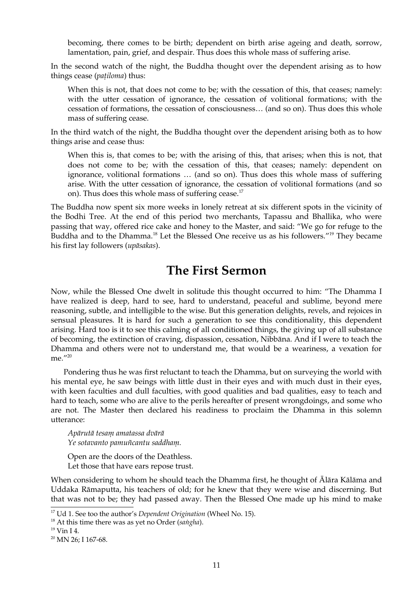becoming, there comes to be birth; dependent on birth arise ageing and death, sorrow, lamentation, pain, grief, and despair. Thus does this whole mass of suffering arise.

In the second watch of the night, the Buddha thought over the dependent arising as to how things cease (*patiloma*) thus:

When this is not, that does not come to be; with the cessation of this, that ceases; namely: with the utter cessation of ignorance, the cessation of volitional formations; with the cessation of formations, the cessation of consciousness… (and so on). Thus does this whole mass of suffering cease.

In the third watch of the night, the Buddha thought over the dependent arising both as to how things arise and cease thus:

When this is, that comes to be; with the arising of this, that arises; when this is not, that does not come to be; with the cessation of this, that ceases; namely: dependent on ignorance, volitional formations … (and so on). Thus does this whole mass of suffering arise. With the utter cessation of ignorance, the cessation of volitional formations (and so on). Thus does this whole mass of suffering cease.<sup>[17](#page-10-1)</sup>

The Buddha now spent six more weeks in lonely retreat at six different spots in the vicinity of the Bodhi Tree. At the end of this period two merchants, Tapassu and Bhallika, who were passing that way, offered rice cake and honey to the Master, and said: "We go for refuge to the Buddha and to the Dhamma.<sup>[18](#page-10-2)</sup> Let the Blessed One receive us as his followers.<sup>"[19](#page-10-3)</sup> They became his first lay followers (*upásakas*).

## <span id="page-10-0"></span>**The First Sermon**

Now, while the Blessed One dwelt in solitude this thought occurred to him: "The Dhamma I have realized is deep, hard to see, hard to understand, peaceful and sublime, beyond mere reasoning, subtle, and intelligible to the wise. But this generation delights, revels, and rejoices in sensual pleasures. It is hard for such a generation to see this conditionality, this dependent arising. Hard too is it to see this calming of all conditioned things, the giving up of all substance of becoming, the extinction of craving, dispassion, cessation, Nibbána. And if I were to teach the Dhamma and others were not to understand me, that would be a weariness, a vexation for me."[20](#page-10-4)

Pondering thus he was first reluctant to teach the Dhamma, but on surveying the world with his mental eye, he saw beings with little dust in their eyes and with much dust in their eyes, with keen faculties and dull faculties, with good qualities and bad qualities, easy to teach and hard to teach, some who are alive to the perils hereafter of present wrongdoings, and some who are not. The Master then declared his readiness to proclaim the Dhamma in this solemn utterance:

*Apárutá tesaí amatassa dvárá Ye sotavanto pamuñcantu saddhaí.*

Open are the doors of the Deathless. Let those that have ears repose trust.

When considering to whom he should teach the Dhamma first, he thought of Álára Káláma and Uddaka Rámaputta, his teachers of old; for he knew that they were wise and discerning. But that was not to be; they had passed away. Then the Blessed One made up his mind to make

<span id="page-10-1"></span><sup>&</sup>lt;sup>17</sup> Ud 1. See too the author's *Dependent Origination* (Wheel No. 15).

<span id="page-10-2"></span><sup>&</sup>lt;sup>18</sup> At this time there was as yet no Order (*saṅgha*).

<span id="page-10-3"></span> $^{19}$  Vin I 4.

<span id="page-10-4"></span> $20$  MN 26: I 167-68.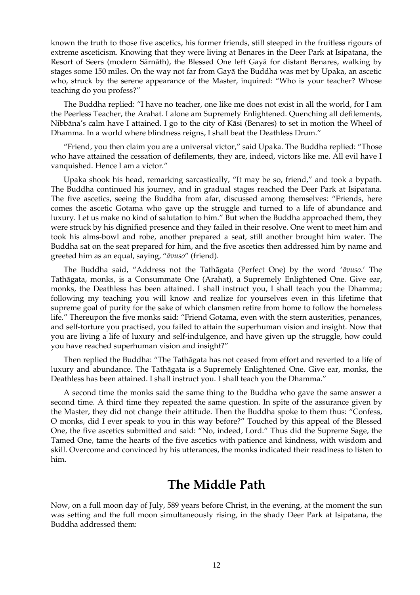known the truth to those five ascetics, his former friends, still steeped in the fruitless rigours of extreme asceticism. Knowing that they were living at Benares in the Deer Park at Isipatana, the Resort of Seers (modern Sárnáth), the Blessed One left Gayá for distant Benares, walking by stages some 150 miles. On the way not far from Gayá the Buddha was met by Upaka, an ascetic who, struck by the serene appearance of the Master, inquired: "Who is your teacher? Whose teaching do you profess?"

The Buddha replied: "I have no teacher, one like me does not exist in all the world, for I am the Peerless Teacher, the Arahat. I alone am Supremely Enlightened. Quenching all defilements, Nibbána's calm have I attained. I go to the city of Kási (Benares) to set in motion the Wheel of Dhamma. In a world where blindness reigns, I shall beat the Deathless Drum."

"Friend, you then claim you are a universal victor," said Upaka. The Buddha replied: "Those who have attained the cessation of defilements, they are, indeed, victors like me. All evil have I vanquished. Hence I am a victor."

Upaka shook his head, remarking sarcastically, "It may be so, friend," and took a bypath. The Buddha continued his journey, and in gradual stages reached the Deer Park at Isipatana. The five ascetics, seeing the Buddha from afar, discussed among themselves: "Friends, here comes the ascetic Gotama who gave up the struggle and turned to a life of abundance and luxury. Let us make no kind of salutation to him." But when the Buddha approached them, they were struck by his dignified presence and they failed in their resolve. One went to meet him and took his alms-bowl and robe, another prepared a seat, still another brought him water. The Buddha sat on the seat prepared for him, and the five ascetics then addressed him by name and greeted him as an equal, saying, "*ávuso*" (friend).

The Buddha said, "Address not the Tathágata (Perfect One) by the word '*ávuso*.' The Tathágata, monks, is a Consummate One (Arahat), a Supremely Enlightened One. Give ear, monks, the Deathless has been attained. I shall instruct you, I shall teach you the Dhamma; following my teaching you will know and realize for yourselves even in this lifetime that supreme goal of purity for the sake of which clansmen retire from home to follow the homeless life." Thereupon the five monks said: "Friend Gotama, even with the stern austerities, penances, and self-torture you practised, you failed to attain the superhuman vision and insight. Now that you are living a life of luxury and self-indulgence, and have given up the struggle, how could you have reached superhuman vision and insight?"

Then replied the Buddha: "The Tathágata has not ceased from effort and reverted to a life of luxury and abundance. The Tathágata is a Supremely Enlightened One. Give ear, monks, the Deathless has been attained. I shall instruct you. I shall teach you the Dhamma."

A second time the monks said the same thing to the Buddha who gave the same answer a second time. A third time they repeated the same question. In spite of the assurance given by the Master, they did not change their attitude. Then the Buddha spoke to them thus: "Confess, O monks, did I ever speak to you in this way before?" Touched by this appeal of the Blessed One, the five ascetics submitted and said: "No, indeed, Lord." Thus did the Supreme Sage, the Tamed One, tame the hearts of the five ascetics with patience and kindness, with wisdom and skill. Overcome and convinced by his utterances, the monks indicated their readiness to listen to him.

#### <span id="page-11-0"></span>**The Middle Path**

Now, on a full moon day of July, 589 years before Christ, in the evening, at the moment the sun was setting and the full moon simultaneously rising, in the shady Deer Park at Isipatana, the Buddha addressed them: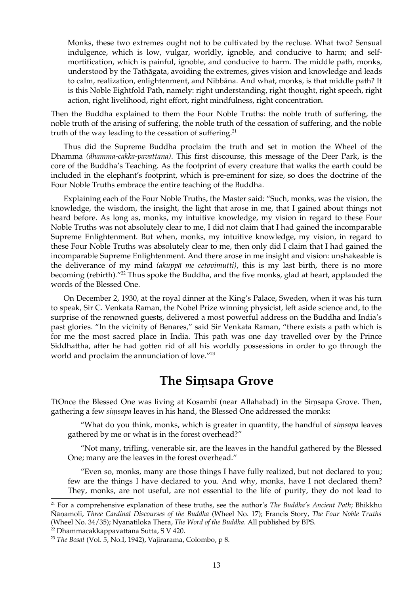Monks, these two extremes ought not to be cultivated by the recluse. What two? Sensual indulgence, which is low, vulgar, worldly, ignoble, and conducive to harm; and selfmortification, which is painful, ignoble, and conducive to harm. The middle path, monks, understood by the Tathágata, avoiding the extremes, gives vision and knowledge and leads to calm, realization, enlightenment, and Nibbána. And what, monks, is that middle path? It is this Noble Eightfold Path, namely: right understanding, right thought, right speech, right action, right livelihood, right effort, right mindfulness, right concentration.

Then the Buddha explained to them the Four Noble Truths: the noble truth of suffering, the noble truth of the arising of suffering, the noble truth of the cessation of suffering, and the noble truth of the way leading to the cessation of suffering.<sup>[21](#page-12-1)</sup>

Thus did the Supreme Buddha proclaim the truth and set in motion the Wheel of the Dhamma *(dhamma-cakka-pavattana)*. This first discourse, this message of the Deer Park, is the core of the Buddha's Teaching. As the footprint of every creature that walks the earth could be included in the elephant's footprint, which is pre-eminent for size, so does the doctrine of the Four Noble Truths embrace the entire teaching of the Buddha.

Explaining each of the Four Noble Truths, the Master said: "Such, monks, was the vision, the knowledge, the wisdom, the insight, the light that arose in me, that I gained about things not heard before. As long as, monks, my intuitive knowledge, my vision in regard to these Four Noble Truths was not absolutely clear to me, I did not claim that I had gained the incomparable Supreme Enlightenment. But when, monks, my intuitive knowledge, my vision, in regard to these Four Noble Truths was absolutely clear to me, then only did I claim that I had gained the incomparable Supreme Enlightenment. And there arose in me insight and vision: unshakeable is the deliverance of my mind *(akuppá me cetovimutti)*, this is my last birth, there is no more becoming (rebirth)."<sup>[22](#page-12-2)</sup> Thus spoke the Buddha, and the five monks, glad at heart, applauded the words of the Blessed One.

On December 2, 1930, at the royal dinner at the King's Palace, Sweden, when it was his turn to speak, Sir C. Venkata Raman, the Nobel Prize winning physicist, left aside science and, to the surprise of the renowned guests, delivered a most powerful address on the Buddha and India's past glories. "In the vicinity of Benares," said Sir Venkata Raman, "there exists a path which is for me the most sacred place in India. This path was one day travelled over by the Prince Siddhattha, after he had gotten rid of all his worldly possessions in order to go through the world and proclaim the annunciation of love."<sup>[23](#page-12-3)</sup>

#### <span id="page-12-0"></span>**The Simsapa Grove**

TtOnce the Blessed One was living at Kosambī (near Allahabad) in the Simsapa Grove. Then, gathering a few *siísapa* leaves in his hand, the Blessed One addressed the monks:

"What do you think, monks, which is greater in quantity, the handful of *simsapa* leaves gathered by me or what is in the forest overhead?"

"Not many, trifling, venerable sir, are the leaves in the handful gathered by the Blessed One; many are the leaves in the forest overhead."

"Even so, monks, many are those things I have fully realized, but not declared to you; few are the things I have declared to you. And why, monks, have I not declared them? They, monks, are not useful, are not essential to the life of purity, they do not lead to

<span id="page-12-1"></span><sup>21</sup> For a comprehensive explanation of these truths, see the author's *The Buddha's Ancient Path*; Bhikkhu Ñáóamoli, *Three Cardinal Discourses of the Buddha* (Wheel No. 17); Francis Story, *The Four Noble Truths* (Wheel No. 34/35); Nyanatiloka Thera, *The Word of the Buddha*. All published by BPS.

<span id="page-12-2"></span><sup>&</sup>lt;sup>22</sup> Dhammacakkappavattana Sutta, S V 420.

<span id="page-12-3"></span><sup>23</sup> *The Bosat* (Vol. 5, No.I, 1942), Vajirarama, Colombo, p 8.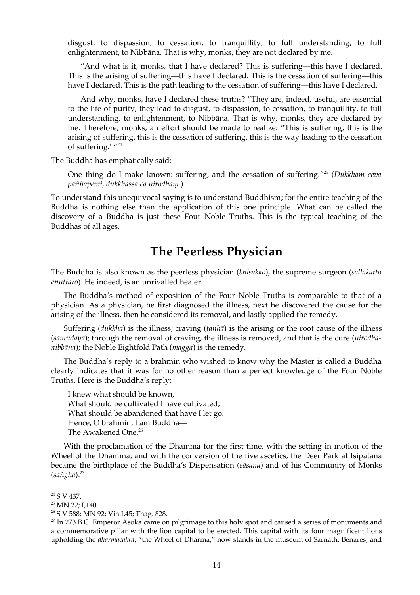disgust, to dispassion, to cessation, to tranquillity, to full understanding, to full enlightenment, to Nibbána. That is why, monks, they are not declared by me.

"And what is it, monks, that I have declared? This is suffering—this have I declared. This is the arising of suffering—this have I declared. This is the cessation of suffering—this have I declared. This is the path leading to the cessation of suffering—this have I declared.

And why, monks, have I declared these truths? "They are, indeed, useful, are essential to the life of purity, they lead to disgust, to dispassion, to cessation, to tranquillity, to full understanding, to enlightenment, to Nibbána. That is why, monks, they are declared by me. Therefore, monks, an effort should be made to realize: "This is suffering, this is the arising of suffering, this is the cessation of suffering, this is the way leading to the cessation of suffering.' "[24](#page-13-1)

The Buddha has emphatically said:

One thing do I make known: suffering, and the cessation of suffering."<sup>[25](#page-13-2)</sup> (Dukkham ceva *paññápemi, dukkhassa ca nirodhaí.*)

To understand this unequivocal saying is to understand Buddhism; for the entire teaching of the Buddha is nothing else than the application of this one principle. What can be called the discovery of a Buddha is just these Four Noble Truths. This is the typical teaching of the Buddhas of all ages.

#### <span id="page-13-0"></span>**The Peerless Physician**

The Buddha is also known as the peerless physician (*bhisakko*), the supreme surgeon (*sallakatto anuttaro*). He indeed, is an unrivalled healer.

The Buddha's method of exposition of the Four Noble Truths is comparable to that of a physician. As a physician, he first diagnosed the illness, next he discovered the cause for the arising of the illness, then he considered its removal, and lastly applied the remedy.

Suffering *(dukkha)* is the illness; craving *(tanha)* is the arising or the root cause of the illness (*samudaya*); through the removal of craving, the illness is removed, and that is the cure (*nirodhanibbána*); the Noble Eightfold Path (*magga*) is the remedy.

The Buddha's reply to a brahmin who wished to know why the Master is called a Buddha clearly indicates that it was for no other reason than a perfect knowledge of the Four Noble Truths. Here is the Buddha's reply:

I knew what should be known, What should be cultivated I have cultivated, What should be abandoned that have I let go. Hence, O brahmin, I am Buddha— The Awakened One.<sup>[26](#page-13-3)</sup>

With the proclamation of the Dhamma for the first time, with the setting in motion of the Wheel of the Dhamma, and with the conversion of the five ascetics, the Deer Park at Isipatana became the birthplace of the Buddha's Dispensation (*sásana*) and of his Community of Monks (*sangha*).<sup>[27](#page-13-4)</sup>

<span id="page-13-1"></span><sup>&</sup>lt;sup>24</sup> S V 437.

<span id="page-13-2"></span> $25$  MN 22; I,140.

<span id="page-13-3"></span><sup>&</sup>lt;sup>26</sup> S V 588; MN 92; Vin.I, 45; Thag. 828.

<span id="page-13-4"></span> $27$  In 273 B.C. Emperor Asoka came on pilgrimage to this holy spot and caused a series of monuments and a commemorative pillar with the lion capital to be erected. This capital with its four magnificent lions upholding the *dharmacakra*, "the Wheel of Dharma," now stands in the museum of Sarnath, Benares, and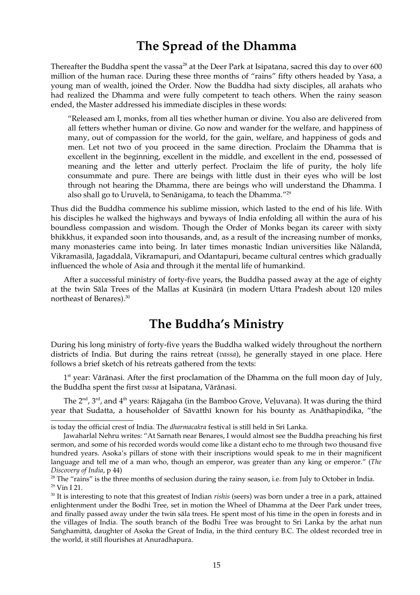# <span id="page-14-1"></span>**The Spread of the Dhamma**

Thereafter the Buddha spent the vassa<sup>[28](#page-14-2)</sup> at the Deer Park at Isipatana, sacred this day to over 600 million of the human race. During these three months of "rains" fifty others headed by Yasa, a young man of wealth, joined the Order. Now the Buddha had sixty disciples, all arahats who had realized the Dhamma and were fully competent to teach others. When the rainy season ended, the Master addressed his immediate disciples in these words:

"Released am I, monks, from all ties whether human or divine. You also are delivered from all fetters whether human or divine. Go now and wander for the welfare, and happiness of many, out of compassion for the world, for the gain, welfare, and happiness of gods and men. Let not two of you proceed in the same direction. Proclaim the Dhamma that is excellent in the beginning, excellent in the middle, and excellent in the end, possessed of meaning and the letter and utterly perfect. Proclaim the life of purity, the holy life consummate and pure. There are beings with little dust in their eyes who will be lost through not hearing the Dhamma, there are beings who will understand the Dhamma. I also shall go to Uruvelá, to Senánigama, to teach the Dhamma."[29](#page-14-3)

Thus did the Buddha commence his sublime mission, which lasted to the end of his life. With his disciples he walked the highways and byways of India enfolding all within the aura of his boundless compassion and wisdom. Though the Order of Monks began its career with sixty bhikkhus, it expanded soon into thousands, and, as a result of the increasing number of monks, many monasteries came into being. In later times monastic Indian universities like Nálandá, Vikramasilá, Jagaddalá, Vikramapuri, and Odantapuri, became cultural centres which gradually influenced the whole of Asia and through it the mental life of humankind.

After a successful ministry of forty-five years, the Buddha passed away at the age of eighty at the twin Sála Trees of the Mallas at Kusinárá (in modern Uttara Pradesh about 120 miles northeast of Benares).<sup>[30](#page-14-4)</sup>

# <span id="page-14-0"></span>**The Buddha's Ministry**

During his long ministry of forty-five years the Buddha walked widely throughout the northern districts of India. But during the rains retreat (*vassa*), he generally stayed in one place. Here follows a brief sketch of his retreats gathered from the texts:

1<sup>st</sup> year: Vārānasi. After the first proclamation of the Dhamma on the full moon day of July, the Buddha spent the first *vassa* at Isipatana, Váránasi.

The  $2<sup>nd</sup>$ ,  $3<sup>rd</sup>$ , and  $4<sup>th</sup>$  years: Rājagaha (in the Bamboo Grove, Veļuvana). It was during the third year that Sudatta, a householder of Sāvatthī known for his bounty as Anāthapiṇḍika, "the

is today the official crest of India. The *dharmacakra* festival is still held in Sri Lanka.

Jawaharlal Nehru writes: "At Sarnath near Benares, I would almost see the Buddha preaching his first sermon, and some of his recorded words would come like a distant echo to me through two thousand five hundred years. Asoka's pillars of stone with their inscriptions would speak to me in their magnificent language and tell me of a man who, though an emperor, was greater than any king or emperor." (*The Discovery of India*, p 44)

<span id="page-14-3"></span><span id="page-14-2"></span><sup>&</sup>lt;sup>28</sup> The "rains" is the three months of seclusion during the rainy season, i.e. from July to October in India. <sup>29</sup> Vin I 21.

<span id="page-14-4"></span><sup>30</sup> It is interesting to note that this greatest of Indian *rishis* (seers) was born under a tree in a park, attained enlightenment under the Bodhi Tree, set in motion the Wheel of Dhamma at the Deer Park under trees, and finally passed away under the twin sála trees. He spent most of his time in the open in forests and in the villages of India. The south branch of the Bodhi Tree was brought to Sri Lanka by the arhat nun Sanghamittā, daughter of Asoka the Great of India, in the third century B.C. The oldest recorded tree in the world, it still flourishes at Anuradhapura.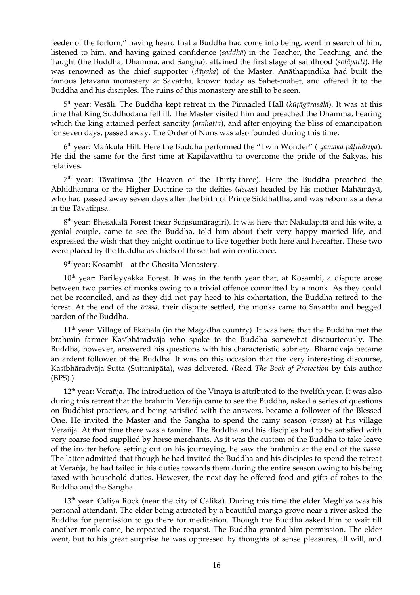feeder of the forlorn," having heard that a Buddha had come into being, went in search of him, listened to him, and having gained confidence (*saddhá*) in the Teacher, the Teaching, and the Taught (the Buddha, Dhamma, and Sangha), attained the first stage of sainthood (*sotápatti*). He was renowned as the chief supporter (*dāyaka*) of the Master. Anāthapiņdika had built the famous Jetavana monastery at Sávatthì, known today as Sahet-mahet, and offered it to the Buddha and his disciples. The ruins of this monastery are still to be seen.

5 th year: Vesáli. The Buddha kept retreat in the Pinnacled Hall (*kúþágárasálá*). It was at this time that King Suddhodana fell ill. The Master visited him and preached the Dhamma, hearing which the king attained perfect sanctity (*arahatta*), and after enjoying the bliss of emancipation for seven days, passed away. The Order of Nuns was also founded during this time.

<span id="page-15-0"></span>6<sup>th</sup> year: Maṅkula Hill. Here the Buddha performed the "Twin Wonder" ( yamaka pāṭihāriya). He did the same for the first time at Kapilavatthu to overcome the pride of the Sakyas, his relatives.

7<sup>th</sup> year: Tāvatimsa (the Heaven of the Thirty-three). Here the Buddha preached the Abhidhamma or the Higher Doctrine to the deities (*devas*) headed by his mother Mahámáyá, who had passed away seven days after the birth of Prince Siddhattha, and was reborn as a deva in the Tāvatimsa.

8<sup>th</sup> year: Bhesakalā Forest (near Suṃsumāragiri). It was here that Nakulapitā and his wife, a genial couple, came to see the Buddha, told him about their very happy married life, and expressed the wish that they might continue to live together both here and hereafter. These two were placed by the Buddha as chiefs of those that win confidence.

9 th year: Kosambì—at the Ghosita Monastery.

 $10<sup>th</sup>$  year: Pārileyyakka Forest. It was in the tenth year that, at Kosambi, a dispute arose between two parties of monks owing to a trivial offence committed by a monk. As they could not be reconciled, and as they did not pay heed to his exhortation, the Buddha retired to the forest. At the end of the *vassa*, their dispute settled, the monks came to Sávatthì and begged pardon of the Buddha.

11th year: Village of Ekanála (in the Magadha country). It was here that the Buddha met the brahmin farmer Kasìbháradvája who spoke to the Buddha somewhat discourteously. The Buddha, however, answered his questions with his characteristic sobriety. Bháradvája became an ardent follower of the Buddha. It was on this occasion that the very interesting discourse, Kasìbháradvája Sutta (Suttanipáta), was delivered. (Read *The Book of Protection* by this author (BPS).)

12<sup>th</sup> year: Verañja. The introduction of the Vinaya is attributed to the twelfth year. It was also during this retreat that the brahmin Verañja came to see the Buddha, asked a series of questions on Buddhist practices, and being satisfied with the answers, became a follower of the Blessed One. He invited the Master and the Sangha to spend the rainy season (*vassa*) at his village Verañja. At that time there was a famine. The Buddha and his disciples had to be satisfied with very coarse food supplied by horse merchants. As it was the custom of the Buddha to take leave of the inviter before setting out on his journeying, he saw the brahmin at the end of the *vassa*. The latter admitted that though he had invited the Buddha and his disciples to spend the retreat at Verañja, he had failed in his duties towards them during the entire season owing to his being taxed with household duties. However, the next day he offered food and gifts of robes to the Buddha and the Sangha.

13<sup>th</sup> year: Cāliya Rock (near the city of Cālika). During this time the elder Meghiya was his personal attendant. The elder being attracted by a beautiful mango grove near a river asked the Buddha for permission to go there for meditation. Though the Buddha asked him to wait till another monk came, he repeated the request. The Buddha granted him permission. The elder went, but to his great surprise he was oppressed by thoughts of sense pleasures, ill will, and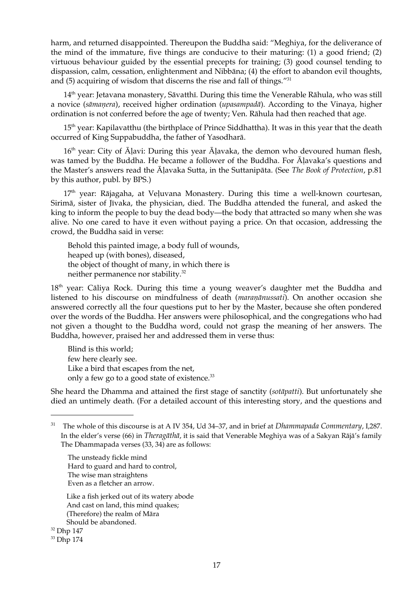harm, and returned disappointed. Thereupon the Buddha said: "Meghiya, for the deliverance of the mind of the immature, five things are conducive to their maturing: (1) a good friend; (2) virtuous behaviour guided by the essential precepts for training; (3) good counsel tending to dispassion, calm, cessation, enlightenment and Nibbána; (4) the effort to abandon evil thoughts, and (5) acquiring of wisdom that discerns the rise and fall of things."<sup>[31](#page-16-0)</sup>

14<sup>th</sup> year: Jetavana monastery, Sāvatthī. During this time the Venerable Rāhula, who was still a novice (sāmaņera), received higher ordination (upasampadā). According to the Vinaya, higher ordination is not conferred before the age of twenty; Ven. Ráhula had then reached that age.

15<sup>th</sup> year: Kapilavatthu (the birthplace of Prince Siddhattha). It was in this year that the death occurred of King Suppabuddha, the father of Yasodhará.

 $16<sup>th</sup>$  year: City of Āļavi: During this year Āļavaka, the demon who devoured human flesh, was tamed by the Buddha. He became a follower of the Buddha. For Alavaka's questions and the Master's answers read the Álavaka Sutta, in the Suttanipāta. (See *The Book of Protection*, p.81) by this author, publ. by BPS.)

 $17<sup>th</sup>$  year: Rājagaha, at Veļuvana Monastery. During this time a well-known courtesan, Sirimá, sister of Jìvaka, the physician, died. The Buddha attended the funeral, and asked the king to inform the people to buy the dead body—the body that attracted so many when she was alive. No one cared to have it even without paying a price. On that occasion, addressing the crowd, the Buddha said in verse:

Behold this painted image, a body full of wounds, heaped up (with bones), diseased, the object of thought of many, in which there is neither permanence nor stability.<sup>[32](#page-16-1)</sup>

18<sup>th</sup> year: Cāliya Rock. During this time a young weaver's daughter met the Buddha and listened to his discourse on mindfulness of death (maraņānussati). On another occasion she answered correctly all the four questions put to her by the Master, because she often pondered over the words of the Buddha. Her answers were philosophical, and the congregations who had not given a thought to the Buddha word, could not grasp the meaning of her answers. The Buddha, however, praised her and addressed them in verse thus:

Blind is this world; few here clearly see. Like a bird that escapes from the net, only a few go to a good state of existence.<sup>[33](#page-16-2)</sup>

She heard the Dhamma and attained the first stage of sanctity (*sotápatti*). But unfortunately she died an untimely death. (For a detailed account of this interesting story, and the questions and

The unsteady fickle mind Hard to guard and hard to control, The wise man straightens Even as a fletcher an arrow.

Like a fish jerked out of its watery abode And cast on land, this mind quakes; (Therefore) the realm of Mára Should be abandoned.

#### <span id="page-16-1"></span><sup>32</sup> Dhp 147

<span id="page-16-0"></span><sup>31</sup> The whole of this discourse is at A IV 354, Ud 34–37, and in brief at *Dhammapada Commentary*, I,287. In the elder's verse (66) in *Theragáthá*, it is said that Venerable Meghiya was of a Sakyan Rájá's family The Dhammapada verses (33, 34) are as follows:

<span id="page-16-2"></span><sup>&</sup>lt;sup>33</sup> Dhp 174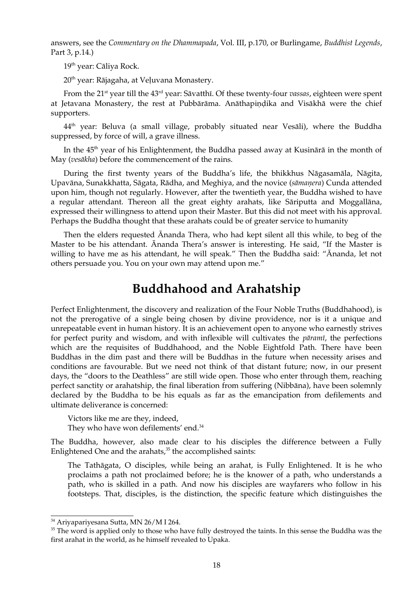answers, see the *Commentary on the Dhammapada*, Vol. III, p.170, or Burlingame, *Buddhist Legends*, Part 3, p.14.)

19<sup>th</sup> year: Cāliya Rock.

20<sup>th</sup> year: Rājagaha, at Veļuvana Monastery.

From the 21st year till the 43rd year: Sávatthì. Of these twenty-four *vassas*, eighteen were spent at Jetavana Monastery, the rest at Pubbārāma. Anāthapiņḍika and Visākhā were the chief supporters.

44<sup>th</sup> year: Beluva (a small village, probably situated near Vesali), where the Buddha suppressed, by force of will, a grave illness.

In the 45<sup>th</sup> year of his Enlightenment, the Buddha passed away at Kusinārā in the month of May (*vesákha*) before the commencement of the rains.

During the first twenty years of the Buddha's life, the bhikkhus Nágasamála, Nágita, Upavána, Sunakkhatta, Ságata, Rádha, and Meghiya, and the novice (*sámaóera*) Cunda attended upon him, though not regularly. However, after the twentieth year, the Buddha wished to have a regular attendant. Thereon all the great eighty arahats, like Sáriputta and Moggallána, expressed their willingness to attend upon their Master. But this did not meet with his approval. Perhaps the Buddha thought that these arahats could be of greater service to humanity

Then the elders requested Ánanda Thera, who had kept silent all this while, to beg of the Master to be his attendant. Ánanda Thera's answer is interesting. He said, "If the Master is willing to have me as his attendant, he will speak." Then the Buddha said: "Ánanda, let not others persuade you. You on your own may attend upon me."

#### <span id="page-17-0"></span>**Buddhahood and Arahatship**

Perfect Enlightenment, the discovery and realization of the Four Noble Truths (Buddhahood), is not the prerogative of a single being chosen by divine providence, nor is it a unique and unrepeatable event in human history. It is an achievement open to anyone who earnestly strives for perfect purity and wisdom, and with inflexible will cultivates the *páramì*, the perfections which are the requisites of Buddhahood, and the Noble Eightfold Path. There have been Buddhas in the dim past and there will be Buddhas in the future when necessity arises and conditions are favourable. But we need not think of that distant future; now, in our present days, the "doors to the Deathless" are still wide open. Those who enter through them, reaching perfect sanctity or arahatship, the final liberation from suffering (Nibbána), have been solemnly declared by the Buddha to be his equals as far as the emancipation from defilements and ultimate deliverance is concerned:

Victors like me are they, indeed, They who have won defilements' end.<sup>[34](#page-17-1)</sup>

The Buddha, however, also made clear to his disciples the difference between a Fully Enlightened One and the arahats, $35$  the accomplished saints:

The Tathágata, O disciples, while being an arahat, is Fully Enlightened. It is he who proclaims a path not proclaimed before; he is the knower of a path, who understands a path, who is skilled in a path. And now his disciples are wayfarers who follow in his footsteps. That, disciples, is the distinction, the specific feature which distinguishes the

<span id="page-17-1"></span><sup>34</sup> Ariyapariyesana Sutta, MN 26/M I 264.

<span id="page-17-2"></span><sup>&</sup>lt;sup>35</sup> The word is applied only to those who have fully destroyed the taints. In this sense the Buddha was the first arahat in the world, as he himself revealed to Upaka.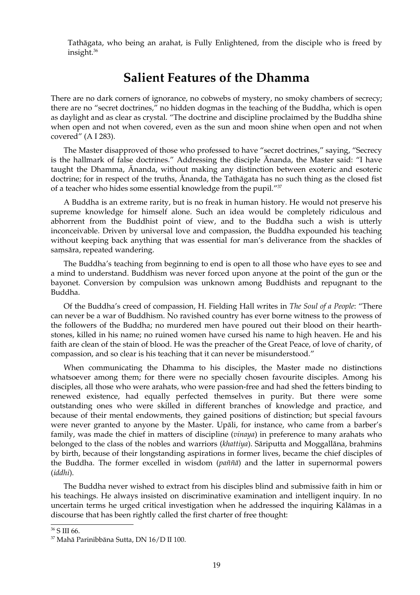Tathágata, who being an arahat, is Fully Enlightened, from the disciple who is freed by insight.<sup>[36](#page-18-1)</sup>

#### <span id="page-18-0"></span>**Salient Features of the Dhamma**

There are no dark corners of ignorance, no cobwebs of mystery, no smoky chambers of secrecy; there are no "secret doctrines," no hidden dogmas in the teaching of the Buddha, which is open as daylight and as clear as crystal. "The doctrine and discipline proclaimed by the Buddha shine when open and not when covered, even as the sun and moon shine when open and not when covered" (A I 283).

The Master disapproved of those who professed to have "secret doctrines," saying, "Secrecy is the hallmark of false doctrines." Addressing the disciple Ánanda, the Master said: "I have taught the Dhamma, Ánanda, without making any distinction between exoteric and esoteric doctrine; for in respect of the truths, Ánanda, the Tathágata has no such thing as the closed fist of a teacher who hides some essential knowledge from the pupil."[37](#page-18-2)

A Buddha is an extreme rarity, but is no freak in human history. He would not preserve his supreme knowledge for himself alone. Such an idea would be completely ridiculous and abhorrent from the Buddhist point of view, and to the Buddha such a wish is utterly inconceivable. Driven by universal love and compassion, the Buddha expounded his teaching without keeping back anything that was essential for man's deliverance from the shackles of saṃsāra, repeated wandering.

The Buddha's teaching from beginning to end is open to all those who have eyes to see and a mind to understand. Buddhism was never forced upon anyone at the point of the gun or the bayonet. Conversion by compulsion was unknown among Buddhists and repugnant to the Buddha.

Of the Buddha's creed of compassion, H. Fielding Hall writes in *The Soul of a People*: "There can never be a war of Buddhism. No ravished country has ever borne witness to the prowess of the followers of the Buddha; no murdered men have poured out their blood on their hearthstones, killed in his name; no ruined women have cursed his name to high heaven. He and his faith are clean of the stain of blood. He was the preacher of the Great Peace, of love of charity, of compassion, and so clear is his teaching that it can never be misunderstood."

When communicating the Dhamma to his disciples, the Master made no distinctions whatsoever among them; for there were no specially chosen favourite disciples. Among his disciples, all those who were arahats, who were passion-free and had shed the fetters binding to renewed existence, had equally perfected themselves in purity. But there were some outstanding ones who were skilled in different branches of knowledge and practice, and because of their mental endowments, they gained positions of distinction; but special favours were never granted to anyone by the Master. Upáli, for instance, who came from a barber's family, was made the chief in matters of discipline (*vinaya*) in preference to many arahats who belonged to the class of the nobles and warriors (*khattiya*). Sáriputta and Moggallána, brahmins by birth, because of their longstanding aspirations in former lives, became the chief disciples of the Buddha. The former excelled in wisdom (*paññá*) and the latter in supernormal powers (*iddhi*).

The Buddha never wished to extract from his disciples blind and submissive faith in him or his teachings. He always insisted on discriminative examination and intelligent inquiry. In no uncertain terms he urged critical investigation when he addressed the inquiring Kálámas in a discourse that has been rightly called the first charter of free thought:

<span id="page-18-1"></span> $^{36}$  S III 66.

<span id="page-18-2"></span><sup>37</sup> Mahá Parinibbána Sutta, DN 16/D II 100.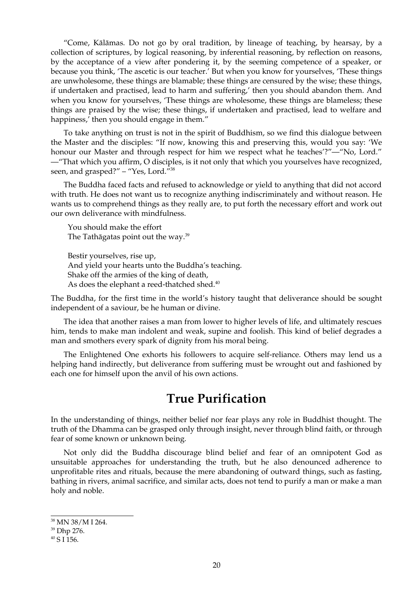"Come, Kálámas. Do not go by oral tradition, by lineage of teaching, by hearsay, by a collection of scriptures, by logical reasoning, by inferential reasoning, by reflection on reasons, by the acceptance of a view after pondering it, by the seeming competence of a speaker, or because you think, 'The ascetic is our teacher.' But when you know for yourselves, 'These things are unwholesome, these things are blamable; these things are censured by the wise; these things, if undertaken and practised, lead to harm and suffering,' then you should abandon them. And when you know for yourselves, 'These things are wholesome, these things are blameless; these things are praised by the wise; these things, if undertaken and practised, lead to welfare and happiness,' then you should engage in them."

To take anything on trust is not in the spirit of Buddhism, so we find this dialogue between the Master and the disciples: "If now, knowing this and preserving this, would you say: 'We honour our Master and through respect for him we respect what he teaches'?"—"No, Lord." —"That which you affirm, O disciples, is it not only that which you yourselves have recognized, seen, and grasped?" – "Yes, Lord."<sup>[38](#page-19-1)</sup>

The Buddha faced facts and refused to acknowledge or yield to anything that did not accord with truth. He does not want us to recognize anything indiscriminately and without reason. He wants us to comprehend things as they really are, to put forth the necessary effort and work out our own deliverance with mindfulness.

You should make the effort The Tathāgatas point out the way. $39$ 

Bestir yourselves, rise up, And yield your hearts unto the Buddha's teaching. Shake off the armies of the king of death, As does the elephant a reed-thatched shed.<sup>[40](#page-19-3)</sup>

The Buddha, for the first time in the world's history taught that deliverance should be sought independent of a saviour, be he human or divine.

The idea that another raises a man from lower to higher levels of life, and ultimately rescues him, tends to make man indolent and weak, supine and foolish. This kind of belief degrades a man and smothers every spark of dignity from his moral being.

The Enlightened One exhorts his followers to acquire self-reliance. Others may lend us a helping hand indirectly, but deliverance from suffering must be wrought out and fashioned by each one for himself upon the anvil of his own actions.

# <span id="page-19-0"></span>**True Purification**

In the understanding of things, neither belief nor fear plays any role in Buddhist thought. The truth of the Dhamma can be grasped only through insight, never through blind faith, or through fear of some known or unknown being.

Not only did the Buddha discourage blind belief and fear of an omnipotent God as unsuitable approaches for understanding the truth, but he also denounced adherence to unprofitable rites and rituals, because the mere abandoning of outward things, such as fasting, bathing in rivers, animal sacrifice, and similar acts, does not tend to purify a man or make a man holy and noble.

<span id="page-19-1"></span><sup>&</sup>lt;sup>38</sup> MN 38/M I 264.

<span id="page-19-2"></span><sup>39</sup> Dhp 276.

<span id="page-19-3"></span> $40$  S I 156.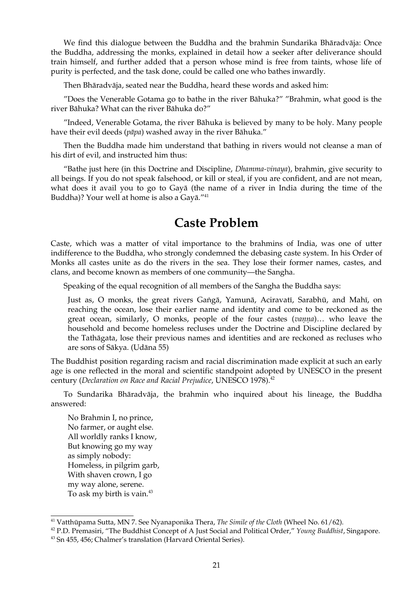We find this dialogue between the Buddha and the brahmin Sundarika Bháradvája: Once the Buddha, addressing the monks, explained in detail how a seeker after deliverance should train himself, and further added that a person whose mind is free from taints, whose life of purity is perfected, and the task done, could be called one who bathes inwardly.

Then Bháradvája, seated near the Buddha, heard these words and asked him:

"Does the Venerable Gotama go to bathe in the river Báhuka?" "Brahmin, what good is the river Báhuka? What can the river Báhuka do?"

"Indeed, Venerable Gotama, the river Báhuka is believed by many to be holy. Many people have their evil deeds (*pápa*) washed away in the river Báhuka."

Then the Buddha made him understand that bathing in rivers would not cleanse a man of his dirt of evil, and instructed him thus:

"Bathe just here (in this Doctrine and Discipline, *Dhamma-vinaya*), brahmin, give security to all beings. If you do not speak falsehood, or kill or steal, if you are confident, and are not mean, what does it avail you to go to Gayá (the name of a river in India during the time of the Buddha)? Your well at home is also a Gayá."[41](#page-20-1)

## <span id="page-20-0"></span>**Caste Problem**

Caste, which was a matter of vital importance to the brahmins of India, was one of utter indifference to the Buddha, who strongly condemned the debasing caste system. In his Order of Monks all castes unite as do the rivers in the sea. They lose their former names, castes, and clans, and become known as members of one community—the Sangha.

Speaking of the equal recognition of all members of the Sangha the Buddha says:

Just as, O monks, the great rivers Gaògá, Yamuná, Aciravatì, Sarabhú, and Mahì, on reaching the ocean, lose their earlier name and identity and come to be reckoned as the great ocean, similarly, O monks, people of the four castes (*vanna*)... who leave the household and become homeless recluses under the Doctrine and Discipline declared by the Tathágata, lose their previous names and identities and are reckoned as recluses who are sons of Sákya. (Udána 55)

The Buddhist position regarding racism and racial discrimination made explicit at such an early age is one reflected in the moral and scientific standpoint adopted by UNESCO in the present century (*Declaration on Race and Racial Prejudice*, UNESCO 1978).<sup>[42](#page-20-2)</sup>

To Sundarika Bháradvája, the brahmin who inquired about his lineage, the Buddha answered:

No Brahmin I, no prince, No farmer, or aught else. All worldly ranks I know, But knowing go my way as simply nobody: Homeless, in pilgrim garb, With shaven crown, I go my way alone, serene. To ask my birth is vain.<sup>[43](#page-20-3)</sup>

<span id="page-20-1"></span><sup>41</sup> Vatthúpama Sutta, MN 7. See Nyanaponika Thera, *The Simile of the Cloth* (Wheel No. 61/62).

<span id="page-20-2"></span><sup>42</sup> P.D. Premasiri, "The Buddhist Concept of A Just Social and Political Order," *Young Buddhist*, Singapore.

<span id="page-20-3"></span><sup>43</sup> Sn 455, 456; Chalmer's translation (Harvard Oriental Series).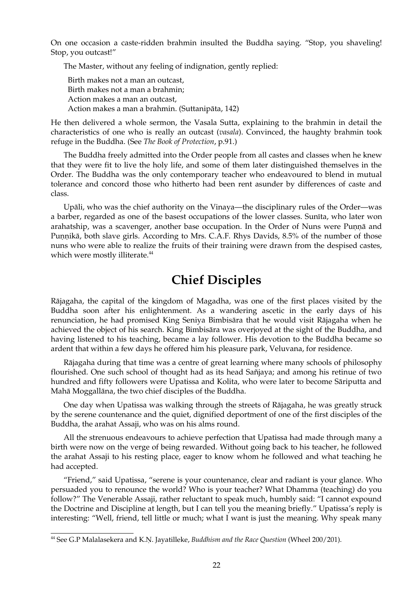On one occasion a caste-ridden brahmin insulted the Buddha saying. "Stop, you shaveling! Stop, you outcast!"

The Master, without any feeling of indignation, gently replied:

Birth makes not a man an outcast, Birth makes not a man a brahmin; Action makes a man an outcast, Action makes a man a brahmin. (Suttanipáta, 142)

He then delivered a whole sermon, the Vasala Sutta, explaining to the brahmin in detail the characteristics of one who is really an outcast (*vasala*). Convinced, the haughty brahmin took refuge in the Buddha. (See *The Book of Protection*, p.91.)

The Buddha freely admitted into the Order people from all castes and classes when he knew that they were fit to live the holy life, and some of them later distinguished themselves in the Order. The Buddha was the only contemporary teacher who endeavoured to blend in mutual tolerance and concord those who hitherto had been rent asunder by differences of caste and class.

Upáli, who was the chief authority on the Vinaya—the disciplinary rules of the Order—was a barber, regarded as one of the basest occupations of the lower classes. Sunìta, who later won arahatship, was a scavenger, another base occupation. In the Order of Nuns were Punna and Punnikā, both slave girls. According to Mrs. C.A.F. Rhys Davids, 8.5% of the number of those nuns who were able to realize the fruits of their training were drawn from the despised castes, which were mostly illiterate.<sup>[44](#page-21-1)</sup>

# <span id="page-21-0"></span>**Chief Disciples**

Rájagaha, the capital of the kingdom of Magadha, was one of the first places visited by the Buddha soon after his enlightenment. As a wandering ascetic in the early days of his renunciation, he had promised King Seniya Bimbisára that he would visit Rájagaha when he achieved the object of his search. King Bimbisára was overjoyed at the sight of the Buddha, and having listened to his teaching, became a lay follower. His devotion to the Buddha became so ardent that within a few days he offered him his pleasure park, Veluvana, for residence.

Rájagaha during that time was a centre of great learning where many schools of philosophy flourished. One such school of thought had as its head Sañjaya; and among his retinue of two hundred and fifty followers were Upatissa and Kolita, who were later to become Sáriputta and Mahá Moggallána, the two chief disciples of the Buddha.

One day when Upatissa was walking through the streets of Rájagaha, he was greatly struck by the serene countenance and the quiet, dignified deportment of one of the first disciples of the Buddha, the arahat Assaji, who was on his alms round.

All the strenuous endeavours to achieve perfection that Upatissa had made through many a birth were now on the verge of being rewarded. Without going back to his teacher, he followed the arahat Assaji to his resting place, eager to know whom he followed and what teaching he had accepted.

"Friend," said Upatissa, "serene is your countenance, clear and radiant is your glance. Who persuaded you to renounce the world? Who is your teacher? What Dhamma (teaching) do you follow?" The Venerable Assaji, rather reluctant to speak much, humbly said: "I cannot expound the Doctrine and Discipline at length, but I can tell you the meaning briefly." Upatissa's reply is interesting: "Well, friend, tell little or much; what I want is just the meaning. Why speak many

<span id="page-21-1"></span><sup>&</sup>lt;sup>44</sup> See G.P Malalasekera and K.N. Jayatilleke, *Buddhism and the Race Question* (Wheel 200/201).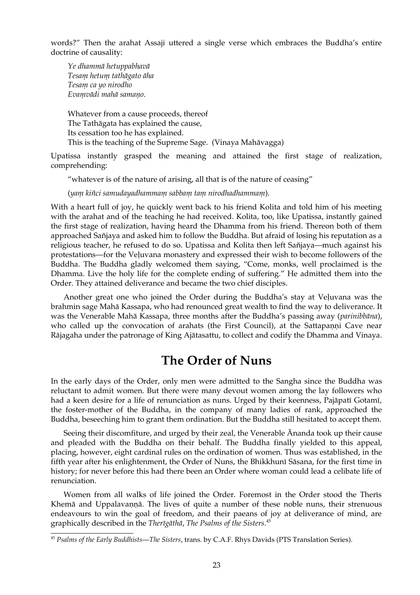words?" Then the arahat Assaji uttered a single verse which embraces the Buddha's entire doctrine of causality:

*Ye dhammá hetuppabhavá Tesaí hetuí tathágato áha* Tesam ca yo nirodho Evamvādi mahā samano.

Whatever from a cause proceeds, thereof The Tathágata has explained the cause, Its cessation too he has explained. This is the teaching of the Supreme Sage. (Vinaya Mahávagga)

Upatissa instantly grasped the meaning and attained the first stage of realization, comprehending:

"whatever is of the nature of arising, all that is of the nature of ceasing"

(yam kiñci samudayadhammam sabbam tam nirodhadhammam).

With a heart full of joy, he quickly went back to his friend Kolita and told him of his meeting with the arahat and of the teaching he had received. Kolita, too, like Upatissa, instantly gained the first stage of realization, having heard the Dhamma from his friend. Thereon both of them approached Sañjaya and asked him to follow the Buddha. But afraid of losing his reputation as a religious teacher, he refused to do so. Upatissa and Kolita then left Sañjaya—much against his protestations—for the Veluvana monastery and expressed their wish to become followers of the Buddha. The Buddha gladly welcomed them saying, "Come, monks, well proclaimed is the Dhamma. Live the holy life for the complete ending of suffering." He admitted them into the Order. They attained deliverance and became the two chief disciples.

Another great one who joined the Order during the Buddha's stay at Veluvana was the brahmin sage Mahá Kassapa, who had renounced great wealth to find the way to deliverance. It was the Venerable Mahá Kassapa, three months after the Buddha's passing away (*parinibbána*), who called up the convocation of arahats (the First Council), at the Sattapanni Cave near Rájagaha under the patronage of King Ajátasattu, to collect and codify the Dhamma and Vinaya.

#### **The Order of Nuns**

In the early days of the Order, only men were admitted to the Sangha since the Buddha was reluctant to admit women. But there were many devout women among the lay followers who had a keen desire for a life of renunciation as nuns. Urged by their keenness, Pajápatì Gotamì, the foster-mother of the Buddha, in the company of many ladies of rank, approached the Buddha, beseeching him to grant them ordination. But the Buddha still hesitated to accept them.

Seeing their discomfiture, and urged by their zeal, the Venerable Ánanda took up their cause and pleaded with the Buddha on their behalf. The Buddha finally yielded to this appeal, placing, however, eight cardinal rules on the ordination of women. Thus was established, in the fifth year after his enlightenment, the Order of Nuns, the Bhikkhunì Sásana, for the first time in history; for never before this had there been an Order where woman could lead a celibate life of renunciation.

Women from all walks of life joined the Order. Foremost in the Order stood the Therìs Khemā and Uppalavaņņā. The lives of quite a number of these noble nuns, their strenuous endeavours to win the goal of freedom, and their paeans of joy at deliverance of mind, are graphically described in the *Therìgáthá*, *The Psalms of the Sisters*. [45](#page-22-0)

<span id="page-22-0"></span><sup>45</sup> *Psalms of the Early Buddhists*—*The Sisters*, trans. by C.A.F. Rhys Davids (PTS Translation Series).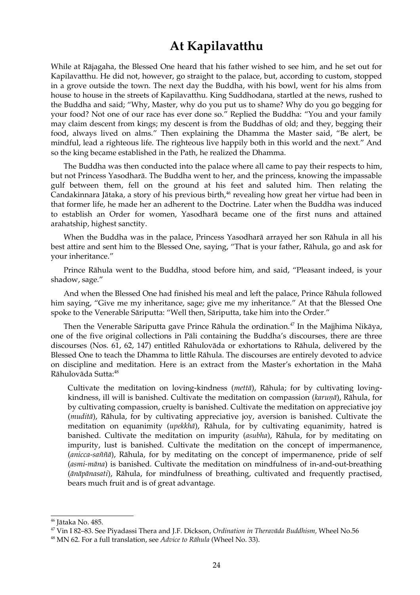# <span id="page-23-0"></span>**At Kapilavatthu**

While at Rájagaha, the Blessed One heard that his father wished to see him, and he set out for Kapilavatthu. He did not, however, go straight to the palace, but, according to custom, stopped in a grove outside the town. The next day the Buddha, with his bowl, went for his alms from house to house in the streets of Kapilavatthu. King Suddhodana, startled at the news, rushed to the Buddha and said; "Why, Master, why do you put us to shame? Why do you go begging for your food? Not one of our race has ever done so." Replied the Buddha: "You and your family may claim descent from kings; my descent is from the Buddhas of old; and they, begging their food, always lived on alms." Then explaining the Dhamma the Master said, "Be alert, be mindful, lead a righteous life. The righteous live happily both in this world and the next." And so the king became established in the Path, he realized the Dhamma.

The Buddha was then conducted into the palace where all came to pay their respects to him, but not Princess Yasodhará. The Buddha went to her, and the princess, knowing the impassable gulf between them, fell on the ground at his feet and saluted him. Then relating the Candakinnara Jātaka, a story of his previous birth,<sup>[46](#page-23-1)</sup> revealing how great her virtue had been in that former life, he made her an adherent to the Doctrine. Later when the Buddha was induced to establish an Order for women, Yasodhará became one of the first nuns and attained arahatship, highest sanctity.

When the Buddha was in the palace, Princess Yasodhará arrayed her son Ráhula in all his best attire and sent him to the Blessed One, saying, "That is your father, Ráhula, go and ask for your inheritance."

Prince Ráhula went to the Buddha, stood before him, and said, "Pleasant indeed, is your shadow, sage."

And when the Blessed One had finished his meal and left the palace, Prince Ráhula followed him saying, "Give me my inheritance, sage; give me my inheritance." At that the Blessed One spoke to the Venerable Sáriputta: "Well then, Sáriputta, take him into the Order."

Then the Venerable Sāriputta gave Prince Rāhula the ordination.<sup>[47](#page-23-2)</sup> In the Majjhima Nikāya, one of the five original collections in Páli containing the Buddha's discourses, there are three discourses (Nos. 61, 62, 147) entitled Ráhulováda or exhortations to Ráhula, delivered by the Blessed One to teach the Dhamma to little Ráhula. The discourses are entirely devoted to advice on discipline and meditation. Here is an extract from the Master's exhortation in the Mahá Ráhulováda Sutta:[48](#page-23-3)

Cultivate the meditation on loving-kindness (*mettá*), Ráhula; for by cultivating lovingkindness, ill will is banished. Cultivate the meditation on compassion (karuņā), Rāhula, for by cultivating compassion, cruelty is banished. Cultivate the meditation on appreciative joy (*muditá*), Ráhula, for by cultivating appreciative joy, aversion is banished. Cultivate the meditation on equanimity (*upekkhá*), Ráhula, for by cultivating equanimity, hatred is banished. Cultivate the meditation on impurity (*asubha*), Ráhula, for by meditating on impurity, lust is banished. Cultivate the meditation on the concept of impermanence, (*anicca-saññá*), Ráhula, for by meditating on the concept of impermanence, pride of self (*asmi-mána*) is banished. Cultivate the meditation on mindfulness of in-and-out-breathing (*ánápánasati*), Ráhula, for mindfulness of breathing, cultivated and frequently practised, bears much fruit and is of great advantage.

<span id="page-23-1"></span><sup>&</sup>lt;sup>46</sup> Jātaka No. 485.

<span id="page-23-2"></span><sup>47</sup> Vin I 82–83. See Piyadassi Thera and J.F. Dickson, *Ordination in Theraváda Buddhism,* Wheel No.56

<span id="page-23-3"></span><sup>48</sup> MN 62. For a full translation, see *Advice to Ráhula* (Wheel No. 33).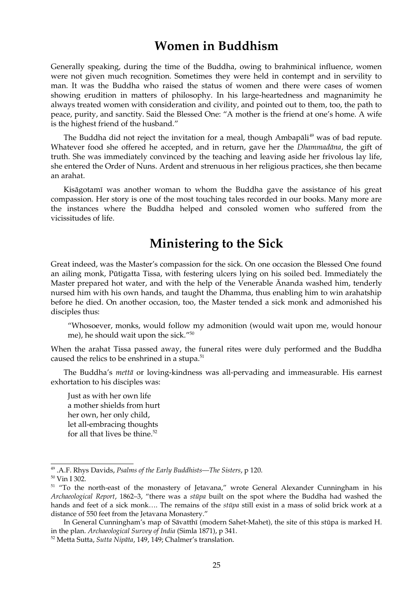#### <span id="page-24-1"></span>**Women in Buddhism**

Generally speaking, during the time of the Buddha, owing to brahminical influence, women were not given much recognition. Sometimes they were held in contempt and in servility to man. It was the Buddha who raised the status of women and there were cases of women showing erudition in matters of philosophy. In his large-heartedness and magnanimity he always treated women with consideration and civility, and pointed out to them, too, the path to peace, purity, and sanctity. Said the Blessed One: "A mother is the friend at one's home. A wife is the highest friend of the husband."

The Buddha did not reject the invitation for a meal, though Ambapāli<sup>[49](#page-24-2)</sup> was of bad repute. Whatever food she offered he accepted, and in return, gave her the *Dhammadána*, the gift of truth. She was immediately convinced by the teaching and leaving aside her frivolous lay life, she entered the Order of Nuns. Ardent and strenuous in her religious practices, she then became an arahat.

Kiságotamì was another woman to whom the Buddha gave the assistance of his great compassion. Her story is one of the most touching tales recorded in our books. Many more are the instances where the Buddha helped and consoled women who suffered from the vicissitudes of life.

#### <span id="page-24-0"></span>**Ministering to the Sick**

Great indeed, was the Master's compassion for the sick. On one occasion the Blessed One found an ailing monk, Pútigatta Tissa, with festering ulcers lying on his soiled bed. Immediately the Master prepared hot water, and with the help of the Venerable Ánanda washed him, tenderly nursed him with his own hands, and taught the Dhamma, thus enabling him to win arahatship before he died. On another occasion, too, the Master tended a sick monk and admonished his disciples thus:

"Whosoever, monks, would follow my admonition (would wait upon me, would honour me), he should wait upon the sick."[50](#page-24-3)

When the arahat Tissa passed away, the funeral rites were duly performed and the Buddha caused the relics to be enshrined in a stupa.<sup>[51](#page-24-4)</sup>

The Buddha's *mettá* or loving-kindness was all-pervading and immeasurable. His earnest exhortation to his disciples was:

Just as with her own life a mother shields from hurt her own, her only child, let all-embracing thoughts for all that lives be thine.<sup>[52](#page-24-5)</sup>

<span id="page-24-2"></span><sup>49</sup> .A.F. Rhys Davids, *Psalms of the Early Buddhists—The Sisters*, p 120.

<span id="page-24-3"></span><sup>50</sup> Vin I 302.

<span id="page-24-4"></span><sup>&</sup>lt;sup>51</sup> "To the north-east of the monastery of Jetavana," wrote General Alexander Cunningham in his *Archaeological Report*, 1862–3, "there was a *stúpa* built on the spot where the Buddha had washed the hands and feet of a sick monk…. The remains of the *stúpa* still exist in a mass of solid brick work at a distance of 550 feet from the Jetavana Monastery."

In General Cunningham's map of Sávatthì (modern Sahet-Mahet), the site of this stúpa is marked H. in the plan. *Archaeological Survey of India* (Simla 1871), p 341.

<span id="page-24-5"></span><sup>52</sup> Metta Sutta, *Sutta Nipáta*, 149, 149; Chalmer's translation.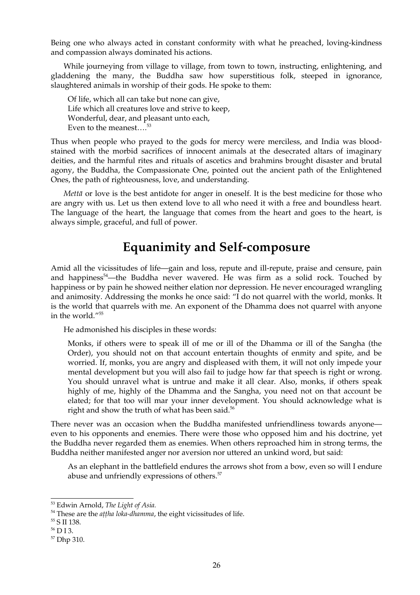Being one who always acted in constant conformity with what he preached, loving-kindness and compassion always dominated his actions.

While journeying from village to village, from town to town, instructing, enlightening, and gladdening the many, the Buddha saw how superstitious folk, steeped in ignorance, slaughtered animals in worship of their gods. He spoke to them:

Of life, which all can take but none can give, Life which all creatures love and strive to keep, Wonderful, dear, and pleasant unto each, Even to the meanest....<sup>[53](#page-25-1)</sup>

Thus when people who prayed to the gods for mercy were merciless, and India was bloodstained with the morbid sacrifices of innocent animals at the desecrated altars of imaginary deities, and the harmful rites and rituals of ascetics and brahmins brought disaster and brutal agony, the Buddha, the Compassionate One, pointed out the ancient path of the Enlightened Ones, the path of righteousness, love, and understanding.

*Mettá* or love is the best antidote for anger in oneself. It is the best medicine for those who are angry with us. Let us then extend love to all who need it with a free and boundless heart. The language of the heart, the language that comes from the heart and goes to the heart, is always simple, graceful, and full of power.

# <span id="page-25-0"></span>**Equanimity and Self-composure**

Amid all the vicissitudes of life—gain and loss, repute and ill-repute, praise and censure, pain and happiness $54$ —the Buddha never wavered. He was firm as a solid rock. Touched by happiness or by pain he showed neither elation nor depression. He never encouraged wrangling and animosity. Addressing the monks he once said: "I do not quarrel with the world, monks. It is the world that quarrels with me. An exponent of the Dhamma does not quarrel with anyone in the world."[55](#page-25-3)

He admonished his disciples in these words:

Monks, if others were to speak ill of me or ill of the Dhamma or ill of the Sangha (the Order), you should not on that account entertain thoughts of enmity and spite, and be worried. If, monks, you are angry and displeased with them, it will not only impede your mental development but you will also fail to judge how far that speech is right or wrong. You should unravel what is untrue and make it all clear. Also, monks, if others speak highly of me, highly of the Dhamma and the Sangha, you need not on that account be elated; for that too will mar your inner development. You should acknowledge what is right and show the truth of what has been said.<sup>[56](#page-25-4)</sup>

There never was an occasion when the Buddha manifested unfriendliness towards anyone even to his opponents and enemies. There were those who opposed him and his doctrine, yet the Buddha never regarded them as enemies. When others reproached him in strong terms, the Buddha neither manifested anger nor aversion nor uttered an unkind word, but said:

As an elephant in the battlefield endures the arrows shot from a bow, even so will I endure abuse and unfriendly expressions of others.<sup>[57](#page-25-5)</sup>

<span id="page-25-1"></span><sup>53</sup> Edwin Arnold, *The Light of Asia.* 

<span id="page-25-2"></span><sup>&</sup>lt;sup>54</sup> These are the *a*ttha loka-dhamma, the eight vicissitudes of life.

<span id="page-25-3"></span><sup>55</sup> S II 138.

<span id="page-25-4"></span><sup>56</sup> D I 3.

<span id="page-25-5"></span><sup>57</sup> Dhp 310.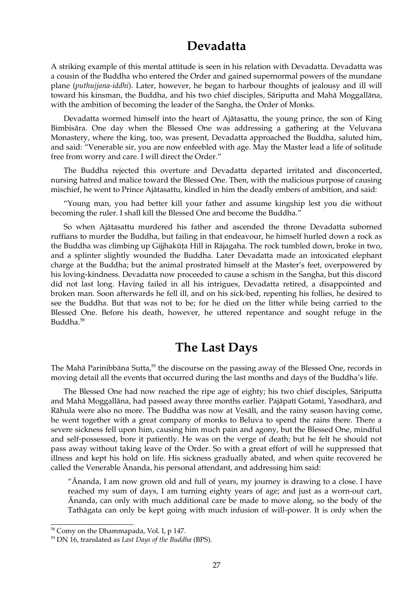#### <span id="page-26-1"></span>**Devadatta**

A striking example of this mental attitude is seen in his relation with Devadatta. Devadatta was a cousin of the Buddha who entered the Order and gained supernormal powers of the mundane plane (*puthujjana-iddhi*). Later, however, he began to harbour thoughts of jealousy and ill will toward his kinsman, the Buddha, and his two chief disciples, Sáriputta and Mahá Moggallána, with the ambition of becoming the leader of the Sangha, the Order of Monks.

Devadatta wormed himself into the heart of Ajátasattu, the young prince, the son of King Bimbisāra. One day when the Blessed One was addressing a gathering at the Veļuvana Monastery, where the king, too, was present, Devadatta approached the Buddha, saluted him, and said: "Venerable sir, you are now enfeebled with age. May the Master lead a life of solitude free from worry and care. I will direct the Order."

The Buddha rejected this overture and Devadatta departed irritated and disconcerted, nursing hatred and malice toward the Blessed One. Then, with the malicious purpose of causing mischief, he went to Prince Ajátasattu, kindled in him the deadly embers of ambition, and said:

"Young man, you had better kill your father and assume kingship lest you die without becoming the ruler. I shall kill the Blessed One and become the Buddha."

So when Ajátasattu murdered his father and ascended the throne Devadatta suborned ruffians to murder the Buddha, but failing in that endeavour, he himself hurled down a rock as the Buddha was climbing up Gijjhakūța Hill in Rājagaha. The rock tumbled down, broke in two, and a splinter slightly wounded the Buddha. Later Devadatta made an intoxicated elephant charge at the Buddha; but the animal prostrated himself at the Master's feet, overpowered by his loving-kindness. Devadatta now proceeded to cause a schism in the Sangha, but this discord did not last long. Having failed in all his intrigues, Devadatta retired, a disappointed and broken man. Soon afterwards he fell ill, and on his sick-bed, repenting his follies, he desired to see the Buddha. But that was not to be; for he died on the litter while being carried to the Blessed One. Before his death, however, he uttered repentance and sought refuge in the Buddha.[58](#page-26-2)

#### <span id="page-26-0"></span>**The Last Days**

The Mahā Parinibbāna Sutta,<sup>[59](#page-26-3)</sup> the discourse on the passing away of the Blessed One, records in moving detail all the events that occurred during the last months and days of the Buddha's life.

The Blessed One had now reached the ripe age of eighty; his two chief disciples, Sáriputta and Mahá Moggallána, had passed away three months earlier. Pajápatì Gotamì, Yasodhará, and Ráhula were also no more. The Buddha was now at Vesálì, and the rainy season having come, he went together with a great company of monks to Beluva to spend the rains there. There a severe sickness fell upon him, causing him much pain and agony, but the Blessed One, mindful and self-possessed, bore it patiently. He was on the verge of death; but he felt he should not pass away without taking leave of the Order. So with a great effort of will he suppressed that illness and kept his hold on life. His sickness gradually abated, and when quite recovered he called the Venerable Ánanda, his personal attendant, and addressing him said:

"Ánanda, I am now grown old and full of years, my journey is drawing to a close. I have reached my sum of days, I am turning eighty years of age; and just as a worn-out cart, Ánanda, can only with much additional care be made to move along, so the body of the Tathágata can only be kept going with much infusion of will-power. It is only when the

<span id="page-26-2"></span><sup>&</sup>lt;sup>58</sup> Comy on the Dhammapada, Vol. I, p 147.

<span id="page-26-3"></span><sup>59</sup> DN 16, translated as *Last Days of the Buddha* (BPS).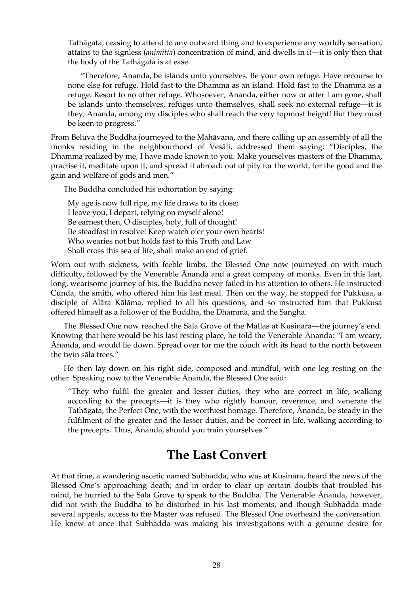Tathágata, ceasing to attend to any outward thing and to experience any worldly sensation, attains to the signless (*animitta*) concentration of mind, and dwells in it—it is only then that the body of the Tathágata is at ease.

"Therefore, Ánanda, be islands unto yourselves. Be your own refuge. Have recourse to none else for refuge. Hold fast to the Dhamma as an island. Hold fast to the Dhamma as a refuge. Resort to no other refuge. Whosoever, Ánanda, either now or after I am gone, shall be islands unto themselves, refuges unto themselves, shall seek no external refuge—it is they, Ánanda, among my disciples who shall reach the very topmost height! But they must be keen to progress."

From Beluva the Buddha journeyed to the Mahávana, and there calling up an assembly of all the monks residing in the neighbourhood of Vesáli, addressed them saying: "Disciples, the Dhamma realized by me, I have made known to you. Make yourselves masters of the Dhamma, practise it, meditate upon it, and spread it abroad: out of pity for the world, for the good and the gain and welfare of gods and men."

The Buddha concluded his exhortation by saying:

My age is now full ripe, my life draws to its close; I leave you, I depart, relying on myself alone! Be earnest then, O disciples, holy, full of thought! Be steadfast in resolve! Keep watch o'er your own hearts! Who wearies not but holds fast to this Truth and Law Shall cross this sea of life, shall make an end of grief.

Worn out with sickness, with feeble limbs, the Blessed One now journeyed on with much difficulty, followed by the Venerable Ánanda and a great company of monks. Even in this last, long, wearisome journey of his, the Buddha never failed in his attention to others. He instructed Cunda, the smith, who offered him his last meal. Then on the way, he stopped for Pukkusa, a disciple of Álára Káláma, replied to all his questions, and so instructed him that Pukkusa offered himself as a follower of the Buddha, the Dhamma, and the Sangha.

The Blessed One now reached the Sála Grove of the Mallas at Kusinárá—the journey's end. Knowing that here would be his last resting place, he told the Venerable Ánanda: "I am weary, Ánanda, and would lie down. Spread over for me the couch with its head to the north between the twin sála trees."

He then lay down on his right side, composed and mindful, with one leg resting on the other. Speaking now to the Venerable Ánanda, the Blessed One said:

"They who fulfil the greater and lesser duties, they who are correct in life, walking according to the precepts—it is they who rightly honour, reverence, and venerate the Tathágata, the Perfect One, with the worthiest homage. Therefore, Ánanda, be steady in the fulfilment of the greater and the lesser duties, and be correct in life, walking according to the precepts. Thus, Ánanda, should you train yourselves."

# <span id="page-27-0"></span>**The Last Convert**

At that time, a wandering ascetic named Subhadda, who was at Kusinárá, heard the news of the Blessed One's approaching death; and in order to clear up certain doubts that troubled his mind, he hurried to the Sála Grove to speak to the Buddha. The Venerable Ánanda, however, did not wish the Buddha to be disturbed in his last moments, and though Subhadda made several appeals, access to the Master was refused. The Blessed One overheard the conversation. He knew at once that Subhadda was making his investigations with a genuine desire for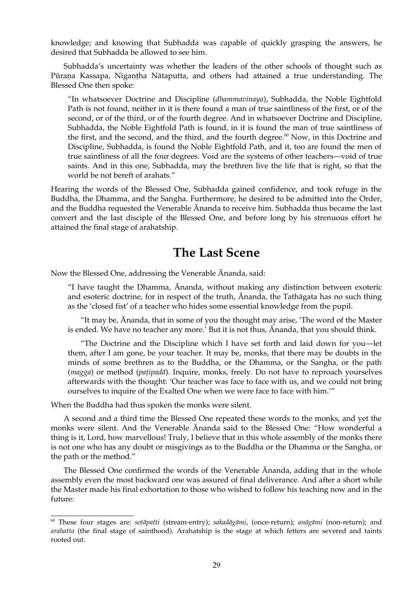knowledge; and knowing that Subhadda was capable of quickly grasping the answers, he desired that Subhadda be allowed to see him.

Subhadda's uncertainty was whether the leaders of the other schools of thought such as Pūraṇa Kassapa, Nigaṇṭha Nātaputta, and others had attained a true understanding. The Blessed One then spoke:

"In whatsoever Doctrine and Discipline (*dhammavinaya*), Subhadda, the Noble Eightfold Path is not found, neither in it is there found a man of true saintliness of the first, or of the second, or of the third, or of the fourth degree. And in whatsoever Doctrine and Discipline, Subhadda, the Noble Eightfold Path is found, in it is found the man of true saintliness of the first, and the second, and the third, and the fourth degree. $60$  Now, in this Doctrine and Discipline, Subhadda, is found the Noble Eightfold Path, and it, too are found the men of true saintliness of all the four degrees. Void are the systems of other teachers—void of true saints. And in this one, Subhadda, may the brethren live the life that is right, so that the world be not bereft of arahats."

Hearing the words of the Blessed One, Subhadda gained confidence, and took refuge in the Buddha, the Dhamma, and the Sangha. Furthermore, he desired to be admitted into the Order, and the Buddha requested the Venerable Ánanda to receive him. Subhadda thus became the last convert and the last disciple of the Blessed One, and before long by his strenuous effort he attained the final stage of arahatship.

#### <span id="page-28-0"></span>**The Last Scene**

Now the Blessed One, addressing the Venerable Ánanda, said:

"I have taught the Dhamma, Ánanda, without making any distinction between exoteric and esoteric doctrine, for in respect of the truth, Ánanda, the Tathágata has no such thing as the 'closed fist' of a teacher who hides some essential knowledge from the pupil.

"It may be, Ánanda, that in some of you the thought may arise, 'The word of the Master is ended. We have no teacher any more.' But it is not thus, Ánanda, that you should think.

"The Doctrine and the Discipline which I have set forth and laid down for you—let them, after I am gone, be your teacher. It may be, monks, that there may be doubts in the minds of some brethren as to the Buddha, or the Dhamma, or the Sangha, or the path (*magga*) or method (*patipadā*). Inquire, monks, freely. Do not have to reproach yourselves afterwards with the thought: 'Our teacher was face to face with us, and we could not bring ourselves to inquire of the Exalted One when we were face to face with him.'"

When the Buddha had thus spoken the monks were silent.

A second and a third time the Blessed One repeated these words to the monks, and yet the monks were silent. And the Venerable Ánanda said to the Blessed One: "How wonderful a thing is it, Lord, how marvellous! Truly, I believe that in this whole assembly of the monks there is not one who has any doubt or misgivings as to the Buddha or the Dhamma or the Sangha, or the path or the method."

The Blessed One confirmed the words of the Venerable Ánanda, adding that in the whole assembly even the most backward one was assured of final deliverance. And after a short while the Master made his final exhortation to those who wished to follow his teaching now and in the future:

<span id="page-28-1"></span><sup>60</sup> These four stages are: *sotápatti* (stream-entry); *sakadágámi*, (once-return); *anágámi* (non-return); and *arahatta* (the final stage of sainthood). Arahatship is the stage at which fetters are severed and taints rooted out.